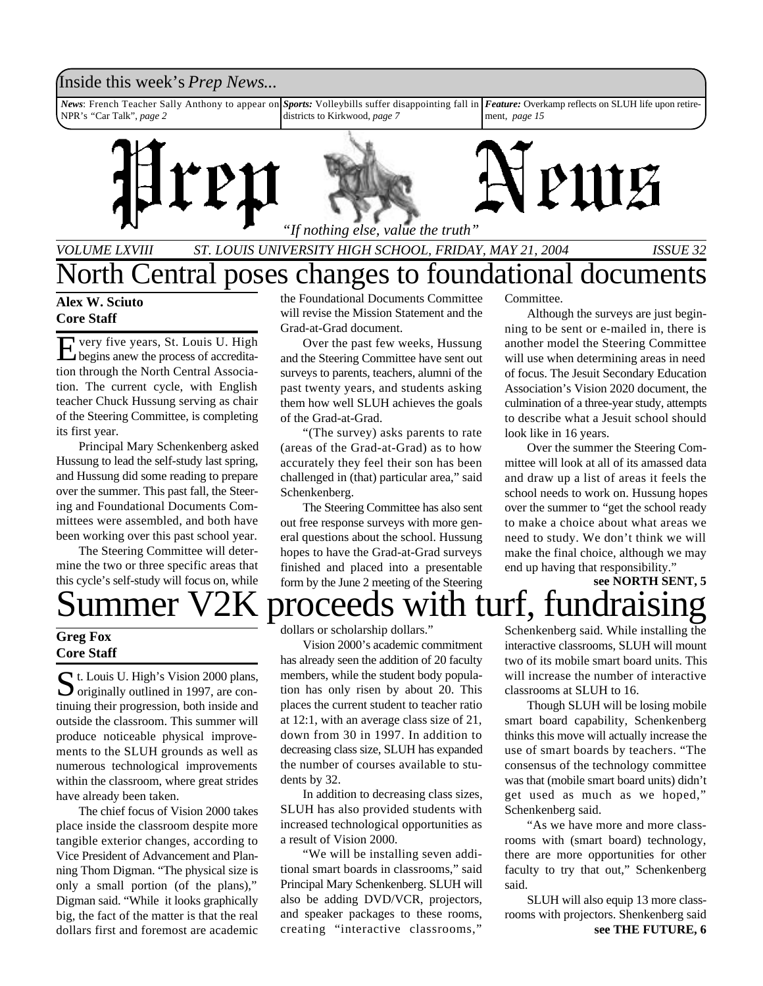### Inside this week's *Prep News*...

*News*: French Teacher Sally Anthony to appear on NPR's *"*Car Talk", *page 2 Sports:* Volleybills suffer disappointing fall in *Feature:* Overkamp reflects on SLUH life upon retiredistricts to Kirkwood, *page 7* ment, *page 15*



*VOLUME LXVIII ST. LOUIS UNIVERSITY HIGH SCHOOL, FRIDAY, MAY 21, 2004 ISSUE 32*

## North Central poses changes to foundational documents

#### **Alex W. Sciuto Core Staff**

E begins anew the process of accreditavery five years, St. Louis U. High tion through the North Central Association. The current cycle, with English teacher Chuck Hussung serving as chair of the Steering Committee, is completing its first year.

Principal Mary Schenkenberg asked Hussung to lead the self-study last spring, and Hussung did some reading to prepare over the summer. This past fall, the Steering and Foundational Documents Committees were assembled, and both have been working over this past school year.

The Steering Committee will determine the two or three specific areas that this cycle's self-study will focus on, while

#### **Greg Fox Core Staff**

St. Louis U. High's Vision 2000 plans,<br>
originally outlined in 1997, are con- $\sum$  originally outlined in 1997, are continuing their progression, both inside and outside the classroom. This summer will produce noticeable physical improvements to the SLUH grounds as well as numerous technological improvements within the classroom, where great strides have already been taken.

The chief focus of Vision 2000 takes place inside the classroom despite more tangible exterior changes, according to Vice President of Advancement and Planning Thom Digman. "The physical size is only a small portion (of the plans)," Digman said. "While it looks graphically big, the fact of the matter is that the real dollars first and foremost are academic

the Foundational Documents Committee will revise the Mission Statement and the Grad-at-Grad document.

Over the past few weeks, Hussung and the Steering Committee have sent out surveys to parents, teachers, alumni of the past twenty years, and students asking them how well SLUH achieves the goals of the Grad-at-Grad.

"(The survey) asks parents to rate (areas of the Grad-at-Grad) as to how accurately they feel their son has been challenged in (that) particular area," said Schenkenberg.

The Steering Committee has also sent out free response surveys with more general questions about the school. Hussung hopes to have the Grad-at-Grad surveys finished and placed into a presentable form by the June 2 meeting of the Steering

Committee.

Although the surveys are just beginning to be sent or e-mailed in, there is another model the Steering Committee will use when determining areas in need of focus. The Jesuit Secondary Education Association's Vision 2020 document, the culmination of a three-year study, attempts to describe what a Jesuit school should look like in 16 years.

Over the summer the Steering Committee will look at all of its amassed data and draw up a list of areas it feels the school needs to work on. Hussung hopes over the summer to "get the school ready to make a choice about what areas we need to study. We don't think we will make the final choice, although we may end up having that responsibility."

**see NORTH SENT, 5**

Summer V2K proceeds with turf, fund

dollars or scholarship dollars."

Vision 2000's academic commitment has already seen the addition of 20 faculty members, while the student body population has only risen by about 20. This places the current student to teacher ratio at 12:1, with an average class size of 21, down from 30 in 1997. In addition to decreasing class size, SLUH has expanded the number of courses available to students by 32.

In addition to decreasing class sizes, SLUH has also provided students with increased technological opportunities as a result of Vision 2000.

"We will be installing seven additional smart boards in classrooms," said Principal Mary Schenkenberg. SLUH will also be adding DVD/VCR, projectors, and speaker packages to these rooms, creating "interactive classrooms,"

Schenkenberg said. While installing the interactive classrooms, SLUH will mount two of its mobile smart board units. This will increase the number of interactive classrooms at SLUH to 16.

Though SLUH will be losing mobile smart board capability, Schenkenberg thinks this move will actually increase the use of smart boards by teachers. "The consensus of the technology committee was that (mobile smart board units) didn't get used as much as we hoped," Schenkenberg said.

"As we have more and more classrooms with (smart board) technology, there are more opportunities for other faculty to try that out," Schenkenberg said.

**see THE FUTURE, 6** SLUH will also equip 13 more classrooms with projectors. Shenkenberg said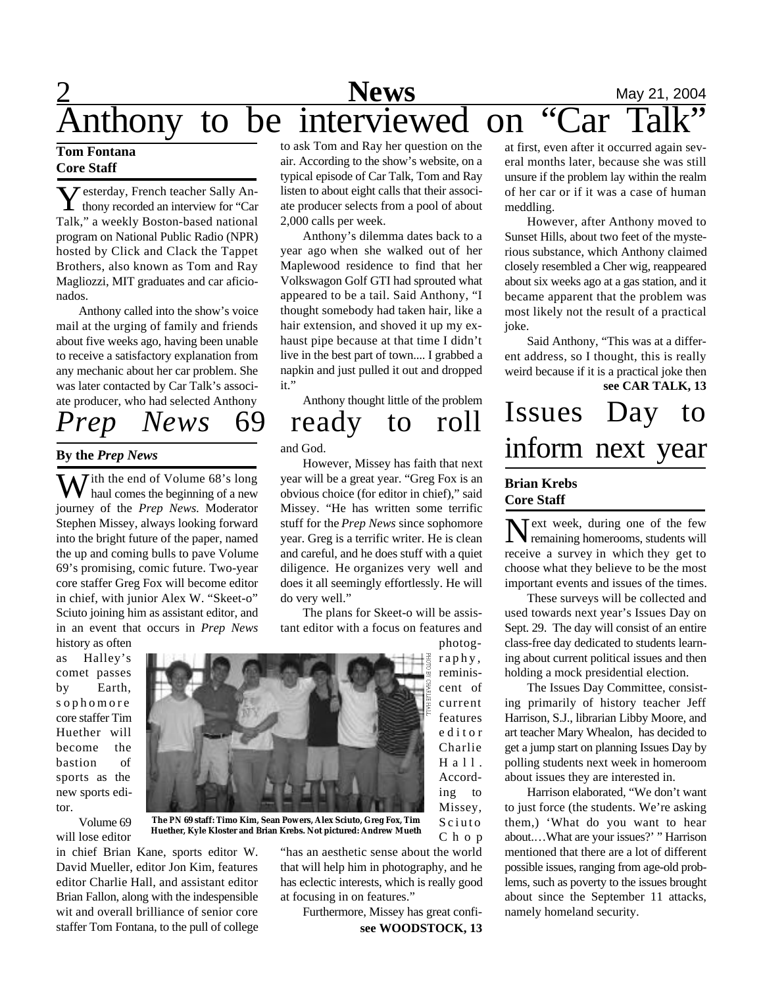# **2** Mews May 21, 2004 Anthony to be interviewed on "Car Talk"

#### **Tom Fontana Core Staff**

**Y** esterday, French teacher Sally An-<br>thony recorded an interview for "Car **7** esterday, French teacher Sally An-Talk," a weekly Boston-based national program on National Public Radio (NPR) hosted by Click and Clack the Tappet Brothers, also known as Tom and Ray Magliozzi, MIT graduates and car aficionados.

Anthony called into the show's voice mail at the urging of family and friends about five weeks ago, having been unable to receive a satisfactory explanation from any mechanic about her car problem. She was later contacted by Car Talk's associate producer, who had selected Anthony

### **By the** *Prep News*

W ith the end of Volume 68's long<br>haul comes the beginning of a new journey of the *Prep News*. Moderator Stephen Missey, always looking forward into the bright future of the paper, named the up and coming bulls to pave Volume 69's promising, comic future. Two-year core staffer Greg Fox will become editor in chief, with junior Alex W. "Skeet-o" Sciuto joining him as assistant editor, and in an event that occurs in *Prep News*

history as often as Halley's comet passes by Earth, s ophomore core staffer Tim Huether will become the bastion of sports as the new sports editor.

Volume 69 will lose editor



in chief Brian Kane, sports editor W. David Mueller, editor Jon Kim, features editor Charlie Hall, and assistant editor Brian Fallon, along with the indespensible wit and overall brilliance of senior core staffer Tom Fontana, to the pull of college

to ask Tom and Ray her question on the air. According to the show's website, on a typical episode of Car Talk, Tom and Ray listen to about eight calls that their associate producer selects from a pool of about 2,000 calls per week.

Anthony's dilemma dates back to a year ago when she walked out of her Maplewood residence to find that her Volkswagon Golf GTI had sprouted what appeared to be a tail. Said Anthony, "I thought somebody had taken hair, like a hair extension, and shoved it up my exhaust pipe because at that time I didn't live in the best part of town.... I grabbed a napkin and just pulled it out and dropped it."

Anthony thought little of the problem

## *Prep News* 69 ready to roll

and God.

However, Missey has faith that next year will be a great year. "Greg Fox is an obvious choice (for editor in chief)," said Missey. "He has written some terrific stuff for the *Prep News* since sophomore year. Greg is a terrific writer. He is clean and careful, and he does stuff with a quiet diligence. He organizes very well and does it all seemingly effortlessly. He will do very well."

The plans for Skeet-o will be assistant editor with a focus on features and

> photography, reminiscent of current features e d i t o r Charlie  $H$  a  $11$ . According to Missey, Sciuto

C h o p

**The** *PN* **69 staff: Timo Kim, Sean Powers, Alex Sciuto, Greg Fox, Tim Huether, Kyle Kloster and Brian Krebs. Not pictured: Andrew Mueth**

> "has an aesthetic sense about the world that will help him in photography, and he has eclectic interests, which is really good at focusing in on features."

**see WOODSTOCK, 13** Furthermore, Missey has great confi-

at first, even after it occurred again several months later, because she was still unsure if the problem lay within the realm of her car or if it was a case of human meddling.

However, after Anthony moved to Sunset Hills, about two feet of the mysterious substance, which Anthony claimed closely resembled a Cher wig, reappeared about six weeks ago at a gas station, and it became apparent that the problem was most likely not the result of a practical joke.

**see CAR TALK, 13** Said Anthony, "This was at a different address, so I thought, this is really weird because if it is a practical joke then

# Issues Day to inform next year

#### **Brian Krebs Core Staff**

 $N$  ext week, during one of the few<br>remaining homerooms, students will Text week, during one of the few receive a survey in which they get to choose what they believe to be the most important events and issues of the times.

These surveys will be collected and used towards next year's Issues Day on Sept. 29. The day will consist of an entire class-free day dedicated to students learning about current political issues and then holding a mock presidential election.

The Issues Day Committee, consisting primarily of history teacher Jeff Harrison, S.J., librarian Libby Moore, and art teacher Mary Whealon, has decided to get a jump start on planning Issues Day by polling students next week in homeroom about issues they are interested in.

Harrison elaborated, "We don't want to just force (the students. We're asking them,) 'What do you want to hear about.…What are your issues?' " Harrison mentioned that there are a lot of different possible issues, ranging from age-old problems, such as poverty to the issues brought about since the September 11 attacks, namely homeland security.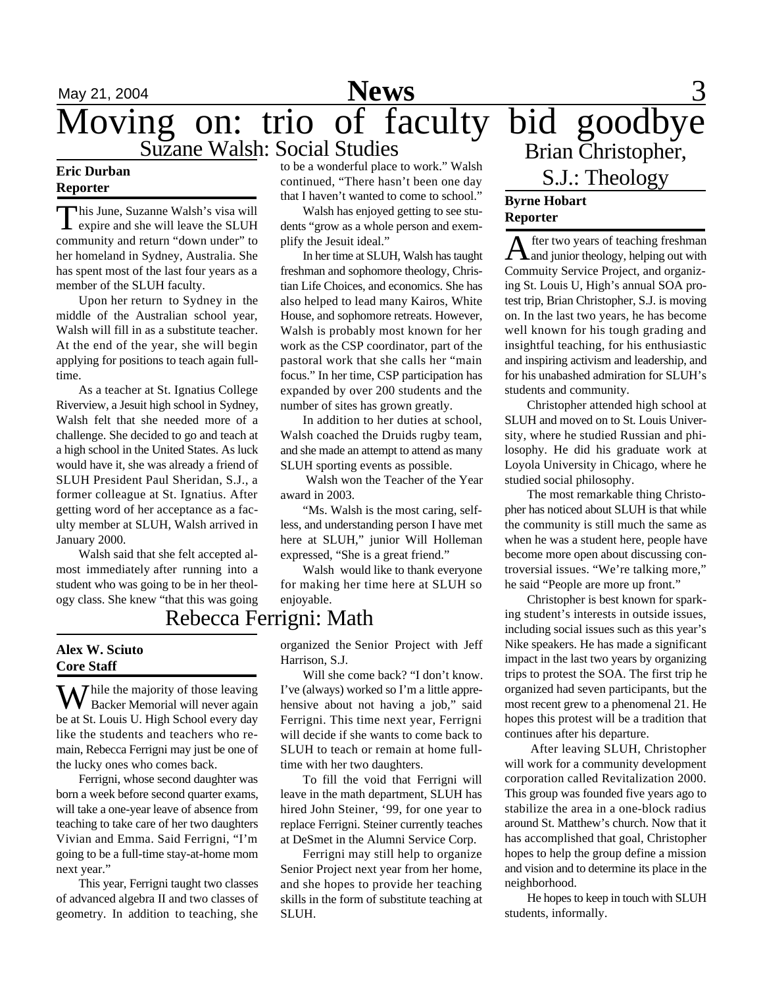## May 21, 2004 **News** 3 Moving on: trio of faculty bid goodbye Suzane Walsh: Social Studies

#### **Eric Durban Reporter**

This June, Suzanne Walsh's visa will<br>expire and she will leave the SLUH his June, Suzanne Walsh's visa will community and return "down under" to her homeland in Sydney, Australia. She has spent most of the last four years as a member of the SLUH faculty.

Upon her return to Sydney in the middle of the Australian school year, Walsh will fill in as a substitute teacher. At the end of the year, she will begin applying for positions to teach again fulltime.

As a teacher at St. Ignatius College Riverview, a Jesuit high school in Sydney, Walsh felt that she needed more of a challenge. She decided to go and teach at a high school in the United States. As luck would have it, she was already a friend of SLUH President Paul Sheridan, S.J., a former colleague at St. Ignatius. After getting word of her acceptance as a faculty member at SLUH, Walsh arrived in January 2000.

Walsh said that she felt accepted almost immediately after running into a student who was going to be in her theology class. She knew "that this was going

#### **Alex W. Sciuto Core Staff**

 $\mathbf{W}$  hile the majority of those leaving Backer Memorial will never again be at St. Louis U. High School every day like the students and teachers who remain, Rebecca Ferrigni may just be one of the lucky ones who comes back.

Ferrigni, whose second daughter was born a week before second quarter exams, will take a one-year leave of absence from teaching to take care of her two daughters Vivian and Emma. Said Ferrigni, "I'm going to be a full-time stay-at-home mom next year."

This year, Ferrigni taught two classes of advanced algebra II and two classes of geometry. In addition to teaching, she

to be a wonderful place to work." Walsh continued, "There hasn't been one day that I haven't wanted to come to school."

Walsh has enjoyed getting to see students "grow as a whole person and exemplify the Jesuit ideal."

In her time at SLUH, Walsh has taught freshman and sophomore theology, Christian Life Choices, and economics. She has also helped to lead many Kairos, White House, and sophomore retreats. However, Walsh is probably most known for her work as the CSP coordinator, part of the pastoral work that she calls her "main focus." In her time, CSP participation has expanded by over 200 students and the number of sites has grown greatly.

In addition to her duties at school, Walsh coached the Druids rugby team, and she made an attempt to attend as many SLUH sporting events as possible.

 Walsh won the Teacher of the Year award in 2003.

"Ms. Walsh is the most caring, selfless, and understanding person I have met here at SLUH," junior Will Holleman expressed, "She is a great friend."

Walsh would like to thank everyone for making her time here at SLUH so enjoyable.

### Rebecca Ferrigni: Math

organized the Senior Project with Jeff Harrison, S.J.

Will she come back? "I don't know. I've (always) worked so I'm a little apprehensive about not having a job," said Ferrigni. This time next year, Ferrigni will decide if she wants to come back to SLUH to teach or remain at home fulltime with her two daughters.

To fill the void that Ferrigni will leave in the math department, SLUH has hired John Steiner, '99, for one year to replace Ferrigni. Steiner currently teaches at DeSmet in the Alumni Service Corp.

Ferrigni may still help to organize Senior Project next year from her home, and she hopes to provide her teaching skills in the form of substitute teaching at SLUH.

# Brian Christopher, S.J.: Theology

### **Byrne Hobart Reporter**

A fter two years of teaching freshman fter two years of teaching freshman Commuity Service Project, and organizing St. Louis U, High's annual SOA protest trip, Brian Christopher, S.J. is moving on. In the last two years, he has become well known for his tough grading and insightful teaching, for his enthusiastic and inspiring activism and leadership, and for his unabashed admiration for SLUH's students and community.

Christopher attended high school at SLUH and moved on to St. Louis University, where he studied Russian and philosophy. He did his graduate work at Loyola University in Chicago, where he studied social philosophy.

The most remarkable thing Christopher has noticed about SLUH is that while the community is still much the same as when he was a student here, people have become more open about discussing controversial issues. "We're talking more," he said "People are more up front."

Christopher is best known for sparking student's interests in outside issues, including social issues such as this year's Nike speakers. He has made a significant impact in the last two years by organizing trips to protest the SOA. The first trip he organized had seven participants, but the most recent grew to a phenomenal 21. He hopes this protest will be a tradition that continues after his departure.

 After leaving SLUH, Christopher will work for a community development corporation called Revitalization 2000. This group was founded five years ago to stabilize the area in a one-block radius around St. Matthew's church. Now that it has accomplished that goal, Christopher hopes to help the group define a mission and vision and to determine its place in the neighborhood.

He hopes to keep in touch with SLUH students, informally.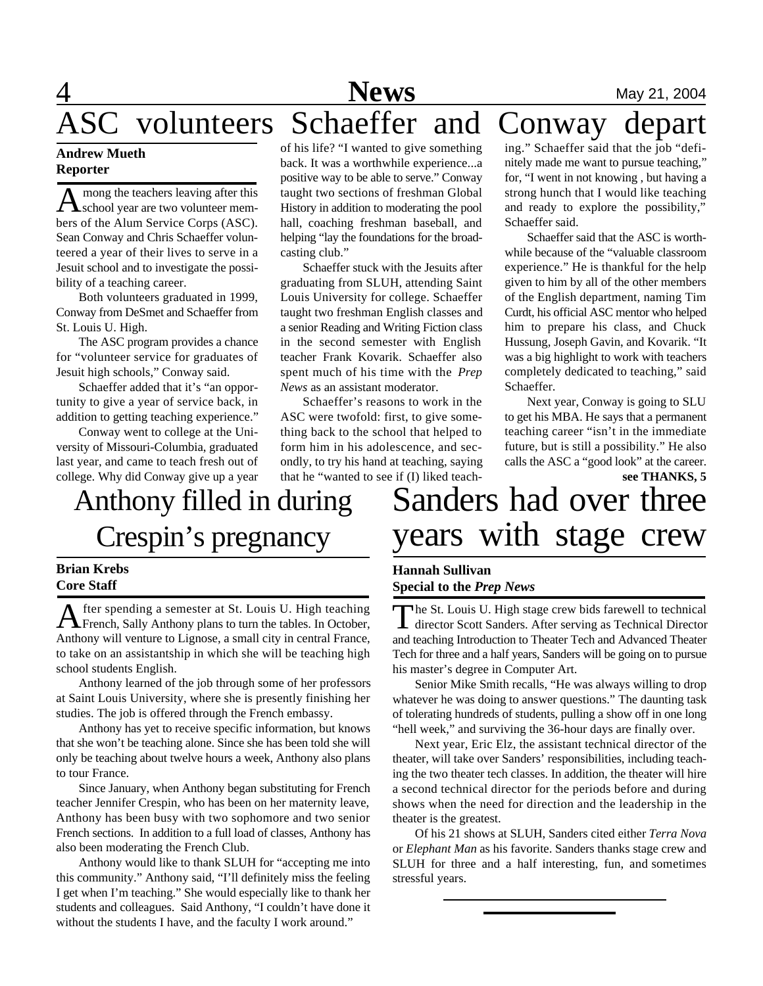## **1 News** May 21, 2004 volunteers Schaeffer and Conway depart ing." Schaeffer said that the job "defi-

### **Andrew Mueth Reporter**

A mong the teachers leaving after this<br>school year are two volunteer memmong the teachers leaving after this bers of the Alum Service Corps (ASC). Sean Conway and Chris Schaeffer volunteered a year of their lives to serve in a Jesuit school and to investigate the possibility of a teaching career.

Both volunteers graduated in 1999, Conway from DeSmet and Schaeffer from St. Louis U. High.

The ASC program provides a chance for "volunteer service for graduates of Jesuit high schools," Conway said.

Schaeffer added that it's "an opportunity to give a year of service back, in addition to getting teaching experience."

Conway went to college at the University of Missouri-Columbia, graduated last year, and came to teach fresh out of college. Why did Conway give up a year

of his life? "I wanted to give something back. It was a worthwhile experience...a positive way to be able to serve." Conway taught two sections of freshman Global History in addition to moderating the pool hall, coaching freshman baseball, and helping "lay the foundations for the broadcasting club."

Schaeffer stuck with the Jesuits after graduating from SLUH, attending Saint Louis University for college. Schaeffer taught two freshman English classes and a senior Reading and Writing Fiction class in the second semester with English teacher Frank Kovarik. Schaeffer also spent much of his time with the *Prep News* as an assistant moderator.

Schaeffer's reasons to work in the ASC were twofold: first, to give something back to the school that helped to form him in his adolescence, and secondly, to try his hand at teaching, saying that he "wanted to see if (I) liked teach-

# Anthony filled in during Crespin's pregnancy

#### **Brian Krebs Core Staff**

A fter spending a semester at St. Louis U. High teaching<br>French, Sally Anthony plans to turn the tables. In October, fter spending a semester at St. Louis U. High teaching Anthony will venture to Lignose, a small city in central France, to take on an assistantship in which she will be teaching high school students English.

Anthony learned of the job through some of her professors at Saint Louis University, where she is presently finishing her studies. The job is offered through the French embassy.

Anthony has yet to receive specific information, but knows that she won't be teaching alone. Since she has been told she will only be teaching about twelve hours a week, Anthony also plans to tour France.

Since January, when Anthony began substituting for French teacher Jennifer Crespin, who has been on her maternity leave, Anthony has been busy with two sophomore and two senior French sections. In addition to a full load of classes, Anthony has also been moderating the French Club.

Anthony would like to thank SLUH for "accepting me into this community." Anthony said, "I'll definitely miss the feeling I get when I'm teaching." She would especially like to thank her students and colleagues. Said Anthony, "I couldn't have done it without the students I have, and the faculty I work around."

### future, but is still a possibility." He also calls the ASC a "good look" at the career. Sanders had over three years with stage crew **see THANKS, 5**

nitely made me want to pursue teaching," for, "I went in not knowing , but having a strong hunch that I would like teaching and ready to explore the possibility,"

Schaeffer said that the ASC is worthwhile because of the "valuable classroom experience." He is thankful for the help given to him by all of the other members of the English department, naming Tim Curdt, his official ASC mentor who helped him to prepare his class, and Chuck Hussung, Joseph Gavin, and Kovarik. "It was a big highlight to work with teachers completely dedicated to teaching," said

Next year, Conway is going to SLU to get his MBA. He says that a permanent teaching career "isn't in the immediate

Schaeffer said.

Schaeffer.

### **Hannah Sullivan Special to the** *Prep News*

The St. Louis U. High stage crew bids farewell to technical<br>director Scott Sanders. After serving as Technical Director he St. Louis U. High stage crew bids farewell to technical and teaching Introduction to Theater Tech and Advanced Theater Tech for three and a half years, Sanders will be going on to pursue his master's degree in Computer Art.

Senior Mike Smith recalls, "He was always willing to drop whatever he was doing to answer questions." The daunting task of tolerating hundreds of students, pulling a show off in one long "hell week," and surviving the 36-hour days are finally over.

Next year, Eric Elz, the assistant technical director of the theater, will take over Sanders' responsibilities, including teaching the two theater tech classes. In addition, the theater will hire a second technical director for the periods before and during shows when the need for direction and the leadership in the theater is the greatest.

Of his 21 shows at SLUH, Sanders cited either *Terra Nova* or *Elephant Man* as his favorite. Sanders thanks stage crew and SLUH for three and a half interesting, fun, and sometimes stressful years.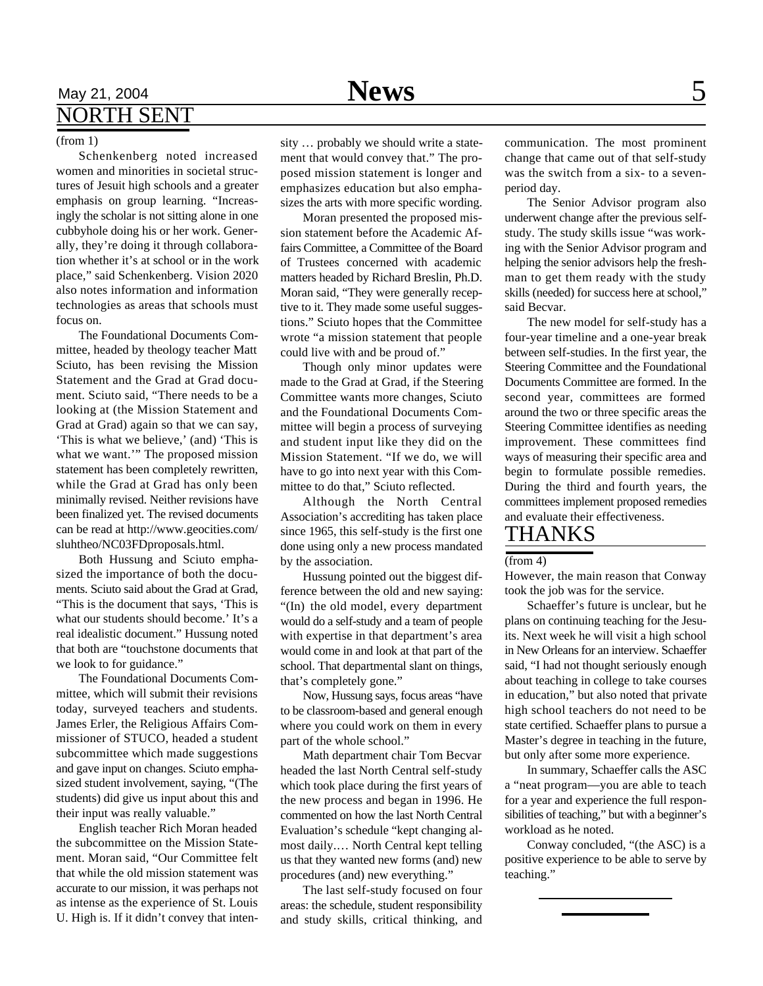### May 21, 2004 **News** 5 NORTH SENT

#### (from 1)

Schenkenberg noted increased women and minorities in societal structures of Jesuit high schools and a greater emphasis on group learning. "Increasingly the scholar is not sitting alone in one cubbyhole doing his or her work. Generally, they're doing it through collaboration whether it's at school or in the work place," said Schenkenberg. Vision 2020 also notes information and information technologies as areas that schools must focus on.

The Foundational Documents Committee, headed by theology teacher Matt Sciuto, has been revising the Mission Statement and the Grad at Grad document. Sciuto said, "There needs to be a looking at (the Mission Statement and Grad at Grad) again so that we can say, 'This is what we believe,' (and) 'This is what we want.'" The proposed mission statement has been completely rewritten, while the Grad at Grad has only been minimally revised. Neither revisions have been finalized yet. The revised documents can be read at http://www.geocities.com/ sluhtheo/NC03FDproposals.html.

Both Hussung and Sciuto emphasized the importance of both the documents. Sciuto said about the Grad at Grad, "This is the document that says, 'This is what our students should become.' It's a real idealistic document." Hussung noted that both are "touchstone documents that we look to for guidance."

The Foundational Documents Committee, which will submit their revisions today, surveyed teachers and students. James Erler, the Religious Affairs Commissioner of STUCO, headed a student subcommittee which made suggestions and gave input on changes. Sciuto emphasized student involvement, saying, "(The students) did give us input about this and their input was really valuable."

English teacher Rich Moran headed the subcommittee on the Mission Statement. Moran said, "Our Committee felt that while the old mission statement was accurate to our mission, it was perhaps not as intense as the experience of St. Louis U. High is. If it didn't convey that intensity … probably we should write a statement that would convey that." The proposed mission statement is longer and emphasizes education but also emphasizes the arts with more specific wording.

Moran presented the proposed mission statement before the Academic Affairs Committee, a Committee of the Board of Trustees concerned with academic matters headed by Richard Breslin, Ph.D. Moran said, "They were generally receptive to it. They made some useful suggestions." Sciuto hopes that the Committee wrote "a mission statement that people could live with and be proud of."

Though only minor updates were made to the Grad at Grad, if the Steering Committee wants more changes, Sciuto and the Foundational Documents Committee will begin a process of surveying and student input like they did on the Mission Statement. "If we do, we will have to go into next year with this Committee to do that," Sciuto reflected.

Although the North Central Association's accrediting has taken place since 1965, this self-study is the first one done using only a new process mandated by the association.

Hussung pointed out the biggest difference between the old and new saying: "(In) the old model, every department would do a self-study and a team of people with expertise in that department's area would come in and look at that part of the school. That departmental slant on things, that's completely gone."

Now, Hussung says, focus areas "have to be classroom-based and general enough where you could work on them in every part of the whole school."

Math department chair Tom Becvar headed the last North Central self-study which took place during the first years of the new process and began in 1996. He commented on how the last North Central Evaluation's schedule "kept changing almost daily.… North Central kept telling us that they wanted new forms (and) new procedures (and) new everything."

The last self-study focused on four areas: the schedule, student responsibility and study skills, critical thinking, and

communication. The most prominent change that came out of that self-study was the switch from a six- to a sevenperiod day.

The Senior Advisor program also underwent change after the previous selfstudy. The study skills issue "was working with the Senior Advisor program and helping the senior advisors help the freshman to get them ready with the study skills (needed) for success here at school," said Becvar.

The new model for self-study has a four-year timeline and a one-year break between self-studies. In the first year, the Steering Committee and the Foundational Documents Committee are formed. In the second year, committees are formed around the two or three specific areas the Steering Committee identifies as needing improvement. These committees find ways of measuring their specific area and begin to formulate possible remedies. During the third and fourth years, the committees implement proposed remedies and evaluate their effectiveness.

### THANKS

#### (from 4)

However, the main reason that Conway took the job was for the service.

Schaeffer's future is unclear, but he plans on continuing teaching for the Jesuits. Next week he will visit a high school in New Orleans for an interview. Schaeffer said, "I had not thought seriously enough about teaching in college to take courses in education," but also noted that private high school teachers do not need to be state certified. Schaeffer plans to pursue a Master's degree in teaching in the future, but only after some more experience.

In summary, Schaeffer calls the ASC a "neat program—you are able to teach for a year and experience the full responsibilities of teaching," but with a beginner's workload as he noted.

Conway concluded, "(the ASC) is a positive experience to be able to serve by teaching."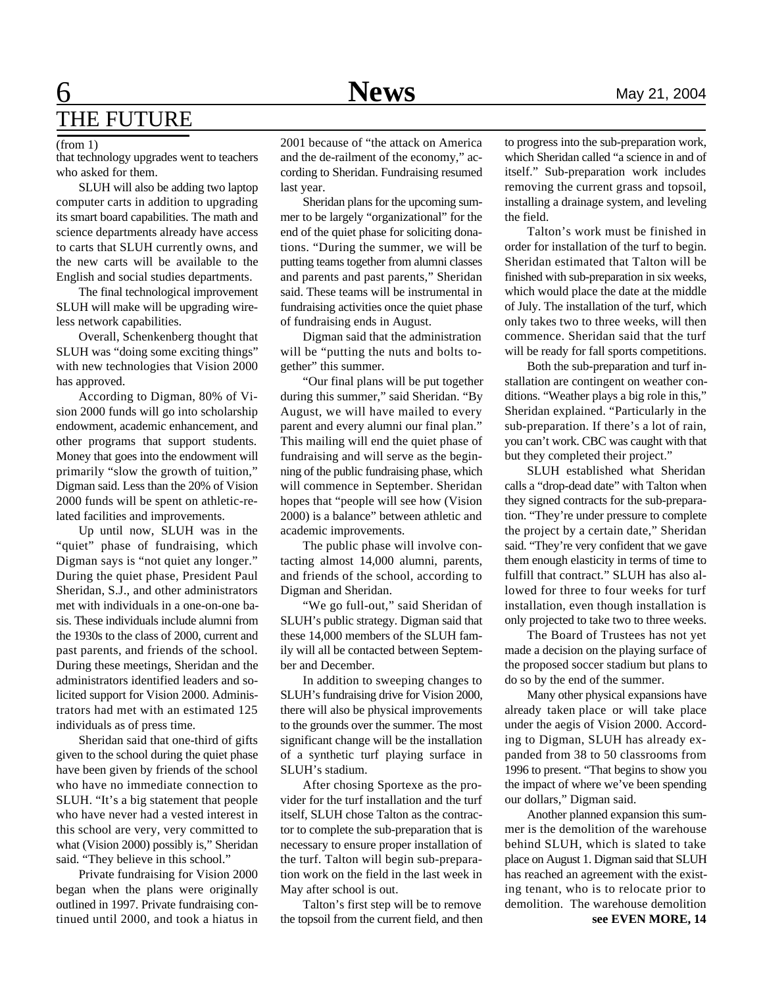## **6** Mews May 21, 2004 THE FUTURE

#### (from 1)

that technology upgrades went to teachers who asked for them.

SLUH will also be adding two laptop computer carts in addition to upgrading its smart board capabilities. The math and science departments already have access to carts that SLUH currently owns, and the new carts will be available to the English and social studies departments.

The final technological improvement SLUH will make will be upgrading wireless network capabilities.

Overall, Schenkenberg thought that SLUH was "doing some exciting things" with new technologies that Vision 2000 has approved.

According to Digman, 80% of Vision 2000 funds will go into scholarship endowment, academic enhancement, and other programs that support students. Money that goes into the endowment will primarily "slow the growth of tuition," Digman said. Less than the 20% of Vision 2000 funds will be spent on athletic-related facilities and improvements.

Up until now, SLUH was in the "quiet" phase of fundraising, which Digman says is "not quiet any longer." During the quiet phase, President Paul Sheridan, S.J., and other administrators met with individuals in a one-on-one basis. These individuals include alumni from the 1930s to the class of 2000, current and past parents, and friends of the school. During these meetings, Sheridan and the administrators identified leaders and solicited support for Vision 2000. Administrators had met with an estimated 125 individuals as of press time.

Sheridan said that one-third of gifts given to the school during the quiet phase have been given by friends of the school who have no immediate connection to SLUH. "It's a big statement that people who have never had a vested interest in this school are very, very committed to what (Vision 2000) possibly is," Sheridan said. "They believe in this school."

Private fundraising for Vision 2000 began when the plans were originally outlined in 1997. Private fundraising continued until 2000, and took a hiatus in 2001 because of "the attack on America and the de-railment of the economy," according to Sheridan. Fundraising resumed last year.

Sheridan plans for the upcoming summer to be largely "organizational" for the end of the quiet phase for soliciting donations. "During the summer, we will be putting teams together from alumni classes and parents and past parents," Sheridan said. These teams will be instrumental in fundraising activities once the quiet phase of fundraising ends in August.

Digman said that the administration will be "putting the nuts and bolts together" this summer.

"Our final plans will be put together during this summer," said Sheridan. "By August, we will have mailed to every parent and every alumni our final plan." This mailing will end the quiet phase of fundraising and will serve as the beginning of the public fundraising phase, which will commence in September. Sheridan hopes that "people will see how (Vision 2000) is a balance" between athletic and academic improvements.

The public phase will involve contacting almost 14,000 alumni, parents, and friends of the school, according to Digman and Sheridan.

"We go full-out," said Sheridan of SLUH's public strategy. Digman said that these 14,000 members of the SLUH family will all be contacted between September and December.

In addition to sweeping changes to SLUH's fundraising drive for Vision 2000, there will also be physical improvements to the grounds over the summer. The most significant change will be the installation of a synthetic turf playing surface in SLUH's stadium.

After chosing Sportexe as the provider for the turf installation and the turf itself, SLUH chose Talton as the contractor to complete the sub-preparation that is necessary to ensure proper installation of the turf. Talton will begin sub-preparation work on the field in the last week in May after school is out.

Talton's first step will be to remove the topsoil from the current field, and then to progress into the sub-preparation work, which Sheridan called "a science in and of itself." Sub-preparation work includes removing the current grass and topsoil, installing a drainage system, and leveling the field.

Talton's work must be finished in order for installation of the turf to begin. Sheridan estimated that Talton will be finished with sub-preparation in six weeks, which would place the date at the middle of July. The installation of the turf, which only takes two to three weeks, will then commence. Sheridan said that the turf will be ready for fall sports competitions.

Both the sub-preparation and turf installation are contingent on weather conditions. "Weather plays a big role in this," Sheridan explained. "Particularly in the sub-preparation. If there's a lot of rain, you can't work. CBC was caught with that but they completed their project."

SLUH established what Sheridan calls a "drop-dead date" with Talton when they signed contracts for the sub-preparation. "They're under pressure to complete the project by a certain date," Sheridan said. "They're very confident that we gave them enough elasticity in terms of time to fulfill that contract." SLUH has also allowed for three to four weeks for turf installation, even though installation is only projected to take two to three weeks.

The Board of Trustees has not yet made a decision on the playing surface of the proposed soccer stadium but plans to do so by the end of the summer.

Many other physical expansions have already taken place or will take place under the aegis of Vision 2000. According to Digman, SLUH has already expanded from 38 to 50 classrooms from 1996 to present. "That begins to show you the impact of where we've been spending our dollars," Digman said.

Another planned expansion this summer is the demolition of the warehouse behind SLUH, which is slated to take place on August 1. Digman said that SLUH has reached an agreement with the existing tenant, who is to relocate prior to demolition. The warehouse demolition **see EVEN MORE, 14**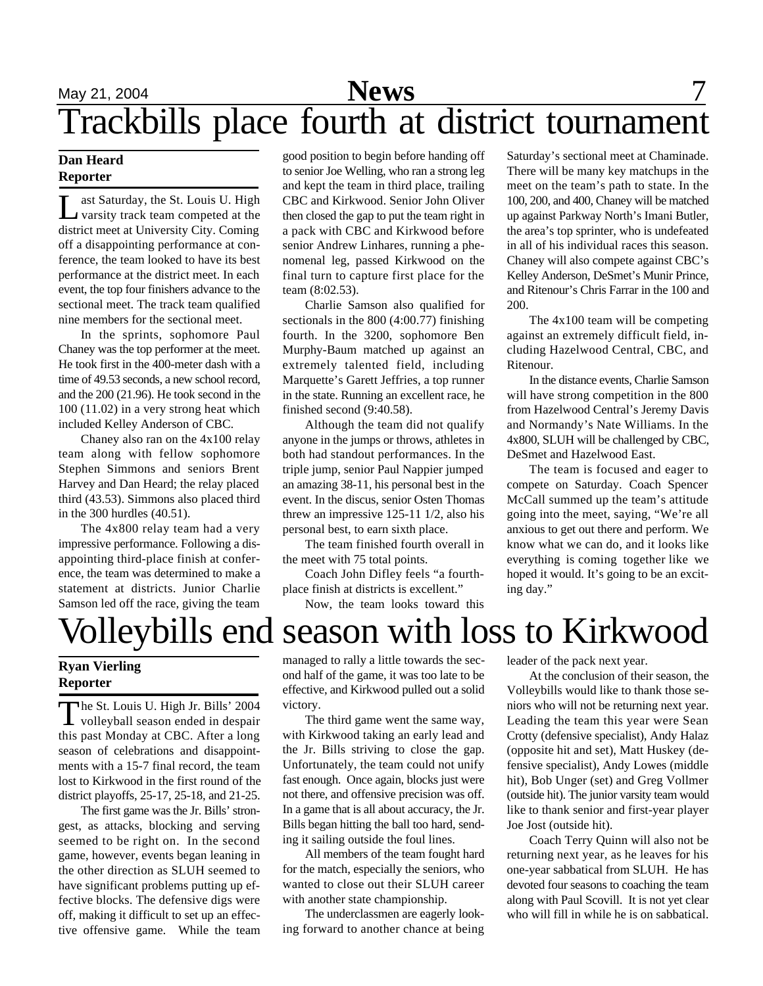#### **Dan Heard Reporter**

Let Saturday, the St. Louis U. High<br>varsity track team competed at the ast Saturday, the St. Louis U. High district meet at University City. Coming off a disappointing performance at conference, the team looked to have its best performance at the district meet. In each event, the top four finishers advance to the sectional meet. The track team qualified nine members for the sectional meet.

In the sprints, sophomore Paul Chaney was the top performer at the meet. He took first in the 400-meter dash with a time of 49.53 seconds, a new school record, and the 200 (21.96). He took second in the 100 (11.02) in a very strong heat which included Kelley Anderson of CBC.

Chaney also ran on the 4x100 relay team along with fellow sophomore Stephen Simmons and seniors Brent Harvey and Dan Heard; the relay placed third (43.53). Simmons also placed third in the 300 hurdles (40.51).

The 4x800 relay team had a very impressive performance. Following a disappointing third-place finish at conference, the team was determined to make a statement at districts. Junior Charlie Samson led off the race, giving the team good position to begin before handing off to senior Joe Welling, who ran a strong leg and kept the team in third place, trailing CBC and Kirkwood. Senior John Oliver then closed the gap to put the team right in a pack with CBC and Kirkwood before senior Andrew Linhares, running a phenomenal leg, passed Kirkwood on the final turn to capture first place for the team (8:02.53).

Charlie Samson also qualified for sectionals in the 800 (4:00.77) finishing fourth. In the 3200, sophomore Ben Murphy-Baum matched up against an extremely talented field, including Marquette's Garett Jeffries, a top runner in the state. Running an excellent race, he finished second (9:40.58).

Although the team did not qualify anyone in the jumps or throws, athletes in both had standout performances. In the triple jump, senior Paul Nappier jumped an amazing 38-11, his personal best in the event. In the discus, senior Osten Thomas threw an impressive 125-11 1/2, also his personal best, to earn sixth place.

The team finished fourth overall in the meet with 75 total points.

Coach John Difley feels "a fourthplace finish at districts is excellent."

Now, the team looks toward this

Saturday's sectional meet at Chaminade. There will be many key matchups in the meet on the team's path to state. In the 100, 200, and 400, Chaney will be matched up against Parkway North's Imani Butler, the area's top sprinter, who is undefeated in all of his individual races this season. Chaney will also compete against CBC's Kelley Anderson, DeSmet's Munir Prince, and Ritenour's Chris Farrar in the 100 and 200.

The 4x100 team will be competing against an extremely difficult field, including Hazelwood Central, CBC, and Ritenour.

In the distance events, Charlie Samson will have strong competition in the 800 from Hazelwood Central's Jeremy Davis and Normandy's Nate Williams. In the 4x800, SLUH will be challenged by CBC, DeSmet and Hazelwood East.

The team is focused and eager to compete on Saturday. Coach Spencer McCall summed up the team's attitude going into the meet, saying, "We're all anxious to get out there and perform. We know what we can do, and it looks like everything is coming together like we hoped it would. It's going to be an exciting day."

# Volleybills end season with loss to Kirkwood

### **Ryan Vierling Reporter**

The St. Louis U. High Jr. Bills' 2004<br>volleyball season ended in despair **L** volleyball season ended in despair this past Monday at CBC. After a long season of celebrations and disappointments with a 15-7 final record, the team lost to Kirkwood in the first round of the district playoffs, 25-17, 25-18, and 21-25.

The first game was the Jr. Bills' strongest, as attacks, blocking and serving seemed to be right on. In the second game, however, events began leaning in the other direction as SLUH seemed to have significant problems putting up effective blocks. The defensive digs were off, making it difficult to set up an effective offensive game. While the team managed to rally a little towards the second half of the game, it was too late to be effective, and Kirkwood pulled out a solid victory.

The third game went the same way, with Kirkwood taking an early lead and the Jr. Bills striving to close the gap. Unfortunately, the team could not unify fast enough. Once again, blocks just were not there, and offensive precision was off. In a game that is all about accuracy, the Jr. Bills began hitting the ball too hard, sending it sailing outside the foul lines.

All members of the team fought hard for the match, especially the seniors, who wanted to close out their SLUH career with another state championship.

The underclassmen are eagerly looking forward to another chance at being leader of the pack next year.

At the conclusion of their season, the Volleybills would like to thank those seniors who will not be returning next year. Leading the team this year were Sean Crotty (defensive specialist), Andy Halaz (opposite hit and set), Matt Huskey (defensive specialist), Andy Lowes (middle hit), Bob Unger (set) and Greg Vollmer (outside hit). The junior varsity team would like to thank senior and first-year player Joe Jost (outside hit).

Coach Terry Quinn will also not be returning next year, as he leaves for his one-year sabbatical from SLUH. He has devoted four seasons to coaching the team along with Paul Scovill. It is not yet clear who will fill in while he is on sabbatical.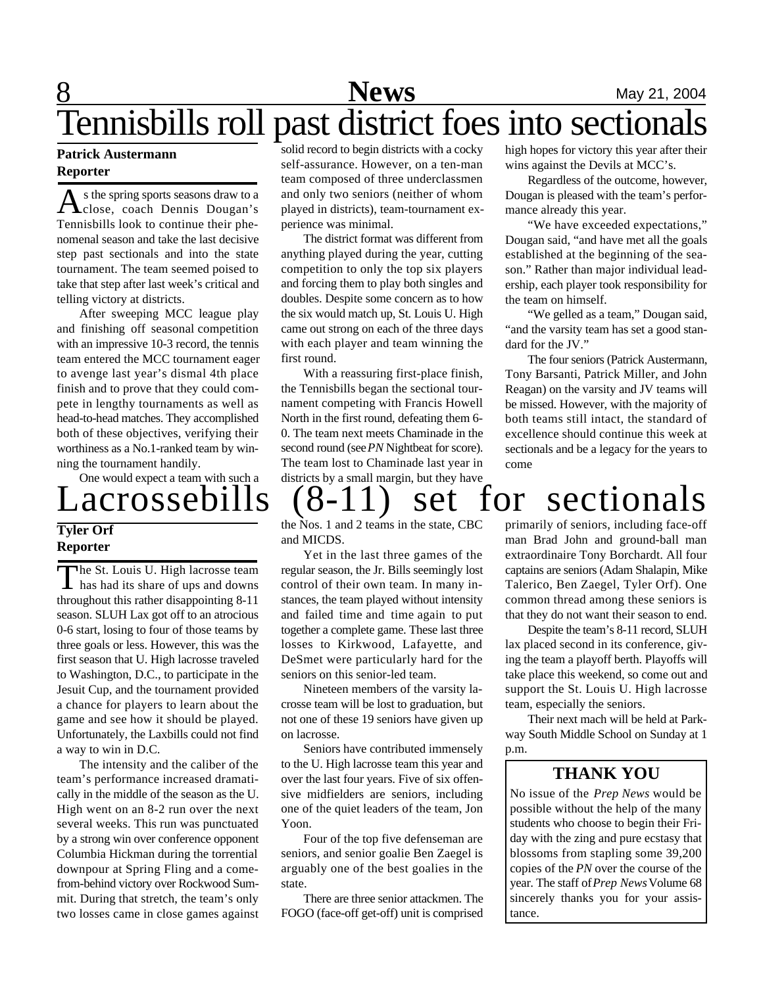# **8** Mews May 21, 2004 Tennisbills roll past district foes into sectionals

#### **Patrick Austermann Reporter**

A s the spring sports seasons draw to a<br>Tennisbills look to continue their phes the spring sports seasons draw to a close, coach Dennis Dougan's nomenal season and take the last decisive step past sectionals and into the state tournament. The team seemed poised to take that step after last week's critical and telling victory at districts.

After sweeping MCC league play and finishing off seasonal competition with an impressive 10-3 record, the tennis team entered the MCC tournament eager to avenge last year's dismal 4th place finish and to prove that they could compete in lengthy tournaments as well as head-to-head matches. They accomplished both of these objectives, verifying their worthiness as a No.1-ranked team by winning the tournament handily.

One would expect a team with such a

### **Tyler Orf Reporter**

The St. Louis U. High lacrosse team he St. Louis U. High lacrosse team throughout this rather disappointing 8-11 season. SLUH Lax got off to an atrocious 0-6 start, losing to four of those teams by three goals or less. However, this was the first season that U. High lacrosse traveled to Washington, D.C., to participate in the Jesuit Cup, and the tournament provided a chance for players to learn about the game and see how it should be played. Unfortunately, the Laxbills could not find a way to win in D.C.

The intensity and the caliber of the team's performance increased dramatically in the middle of the season as the U. High went on an 8-2 run over the next several weeks. This run was punctuated by a strong win over conference opponent Columbia Hickman during the torrential downpour at Spring Fling and a comefrom-behind victory over Rockwood Summit. During that stretch, the team's only two losses came in close games against

solid record to begin districts with a cocky self-assurance. However, on a ten-man team composed of three underclassmen and only two seniors (neither of whom played in districts), team-tournament experience was minimal.

The district format was different from anything played during the year, cutting competition to only the top six players and forcing them to play both singles and doubles. Despite some concern as to how the six would match up, St. Louis U. High came out strong on each of the three days with each player and team winning the first round.

With a reassuring first-place finish, the Tennisbills began the sectional tournament competing with Francis Howell North in the first round, defeating them 6- 0. The team next meets Chaminade in the second round (see *PN* Nightbeat for score). The team lost to Chaminade last year in districts by a small margin, but they have

high hopes for victory this year after their wins against the Devils at MCC's.

Regardless of the outcome, however, Dougan is pleased with the team's performance already this year.

"We have exceeded expectations," Dougan said, "and have met all the goals established at the beginning of the season." Rather than major individual leadership, each player took responsibility for the team on himself.

"We gelled as a team," Dougan said, "and the varsity team has set a good standard for the JV."

The four seniors (Patrick Austermann, Tony Barsanti, Patrick Miller, and John Reagan) on the varsity and JV teams will be missed. However, with the majority of both teams still intact, the standard of excellence should continue this week at sectionals and be a legacy for the years to come

Lacrossebills (8-11) set for sectionals the Nos. 1 and 2 teams in the state, CBC

and MICDS.

Yet in the last three games of the regular season, the Jr. Bills seemingly lost control of their own team. In many instances, the team played without intensity and failed time and time again to put together a complete game. These last three losses to Kirkwood, Lafayette, and DeSmet were particularly hard for the seniors on this senior-led team.

Nineteen members of the varsity lacrosse team will be lost to graduation, but not one of these 19 seniors have given up on lacrosse.

Seniors have contributed immensely to the U. High lacrosse team this year and over the last four years. Five of six offensive midfielders are seniors, including one of the quiet leaders of the team, Jon Yoon.

Four of the top five defenseman are seniors, and senior goalie Ben Zaegel is arguably one of the best goalies in the state.

There are three senior attackmen. The FOGO (face-off get-off) unit is comprised primarily of seniors, including face-off man Brad John and ground-ball man extraordinaire Tony Borchardt. All four captains are seniors (Adam Shalapin, Mike Talerico, Ben Zaegel, Tyler Orf). One common thread among these seniors is that they do not want their season to end.

Despite the team's 8-11 record, SLUH lax placed second in its conference, giving the team a playoff berth. Playoffs will take place this weekend, so come out and support the St. Louis U. High lacrosse team, especially the seniors.

Their next mach will be held at Parkway South Middle School on Sunday at 1 p.m.

### **THANK YOU**

No issue of the *Prep News* would be possible without the help of the many students who choose to begin their Friday with the zing and pure ecstasy that blossoms from stapling some 39,200 copies of the *PN* over the course of the year. The staff of *Prep News* Volume 68 sincerely thanks you for your assistance.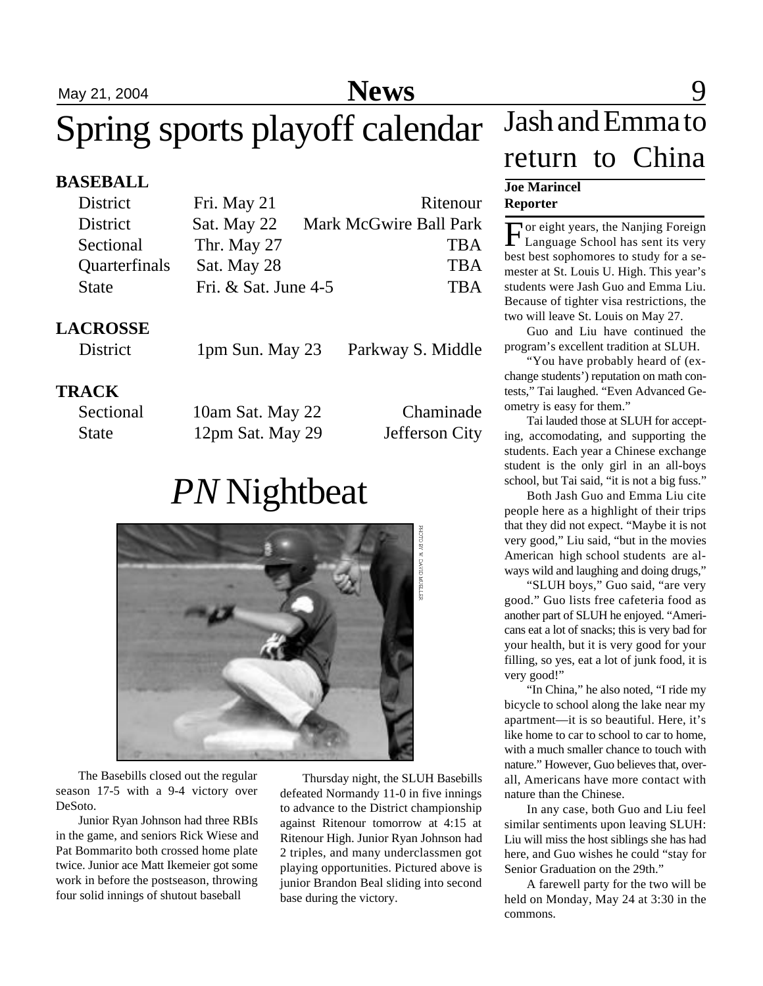# Spring sports playoff calendar

### **BASEBALL**

| District             | Fri. May 21            | Ritenour               |
|----------------------|------------------------|------------------------|
| District             | Sat. May 22            | Mark McGwire Ball Park |
| Sectional            | Thr. May 27            | <b>TBA</b>             |
| <b>Quarterfinals</b> | Sat. May 28            | <b>TBA</b>             |
| <b>State</b>         | Fri. $&$ Sat. June 4-5 | <b>TBA</b>             |

### **LACROSSE**

District 1pm Sun. May 23 Parkway S. Middle

### **TRACK**

| Sectional    | 10am Sat. May 22 | Chaminade      |
|--------------|------------------|----------------|
| <b>State</b> | 12pm Sat. May 29 | Jefferson City |

# *PN* Nightbeat



The Basebills closed out the regular season 17-5 with a 9-4 victory over DeSoto.

Junior Ryan Johnson had three RBIs in the game, and seniors Rick Wiese and Pat Bommarito both crossed home plate twice. Junior ace Matt Ikemeier got some work in before the postseason, throwing four solid innings of shutout baseball

Thursday night, the SLUH Basebills defeated Normandy 11-0 in five innings to advance to the District championship against Ritenour tomorrow at 4:15 at Ritenour High. Junior Ryan Johnson had 2 triples, and many underclassmen got playing opportunities. Pictured above is junior Brandon Beal sliding into second base during the victory.

## May 21, 2004 **News** 9 Jash and Emma to return to China

#### **Joe Marincel Reporter**

For eight years, the Nanjing Foreign<br>Language School has sent its very or eight years, the Nanjing Foreign best best sophomores to study for a semester at St. Louis U. High. This year's students were Jash Guo and Emma Liu. Because of tighter visa restrictions, the two will leave St. Louis on May 27.

Guo and Liu have continued the program's excellent tradition at SLUH.

"You have probably heard of (exchange students') reputation on math contests," Tai laughed. "Even Advanced Geometry is easy for them."

Tai lauded those at SLUH for accepting, accomodating, and supporting the students. Each year a Chinese exchange student is the only girl in an all-boys school, but Tai said, "it is not a big fuss."

Both Jash Guo and Emma Liu cite people here as a highlight of their trips that they did not expect. "Maybe it is not very good," Liu said, "but in the movies American high school students are always wild and laughing and doing drugs,"

"SLUH boys," Guo said, "are very good." Guo lists free cafeteria food as another part of SLUH he enjoyed. "Americans eat a lot of snacks; this is very bad for your health, but it is very good for your filling, so yes, eat a lot of junk food, it is very good!"

"In China," he also noted, "I ride my bicycle to school along the lake near my apartment—it is so beautiful. Here, it's like home to car to school to car to home, with a much smaller chance to touch with nature." However, Guo believes that, overall, Americans have more contact with nature than the Chinese.

In any case, both Guo and Liu feel similar sentiments upon leaving SLUH: Liu will miss the host siblings she has had here, and Guo wishes he could "stay for Senior Graduation on the 29th."

A farewell party for the two will be held on Monday, May 24 at 3:30 in the commons.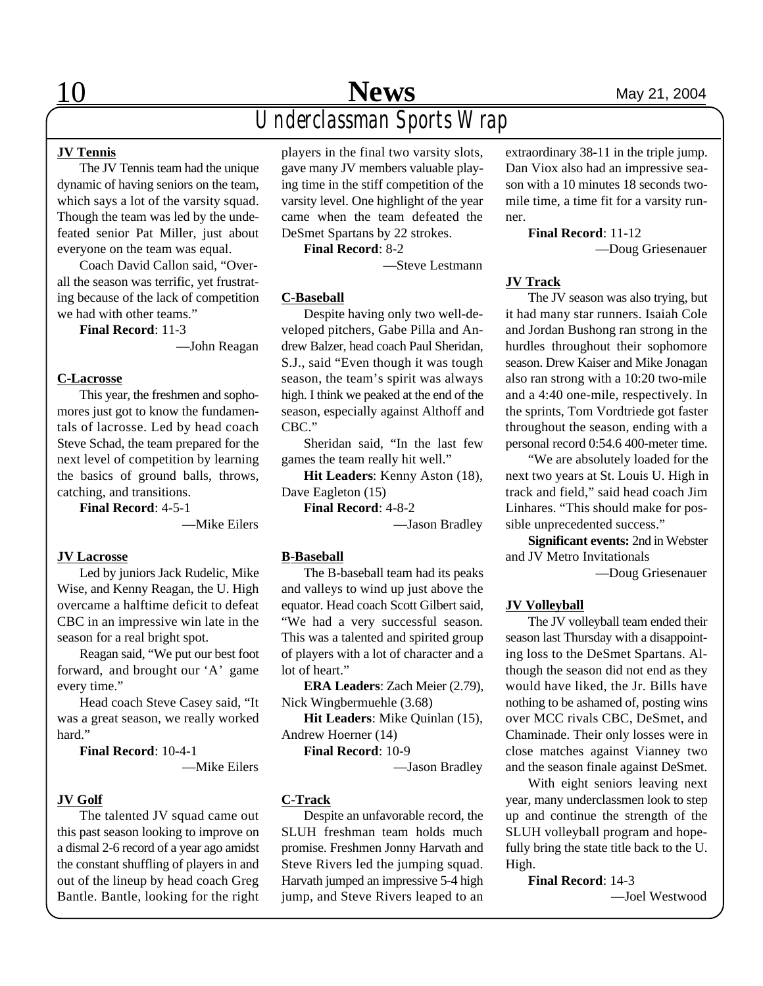### **JV Tennis**

The JV Tennis team had the unique dynamic of having seniors on the team, which says a lot of the varsity squad. Though the team was led by the undefeated senior Pat Miller, just about everyone on the team was equal.

Coach David Callon said, "Overall the season was terrific, yet frustrating because of the lack of competition we had with other teams."

**Final Record**: 11-3

—John Reagan

#### **C-Lacrosse**

This year, the freshmen and sophomores just got to know the fundamentals of lacrosse. Led by head coach Steve Schad, the team prepared for the next level of competition by learning the basics of ground balls, throws, catching, and transitions.

**Final Record**: 4-5-1

—Mike Eilers

#### **JV Lacrosse**

Led by juniors Jack Rudelic, Mike Wise, and Kenny Reagan, the U. High overcame a halftime deficit to defeat CBC in an impressive win late in the season for a real bright spot.

Reagan said, "We put our best foot forward, and brought our 'A' game every time."

Head coach Steve Casey said, "It was a great season, we really worked hard."

**Final Record**: 10-4-1 —Mike Eilers

#### **JV Golf**

The talented JV squad came out this past season looking to improve on a dismal 2-6 record of a year ago amidst the constant shuffling of players in and out of the lineup by head coach Greg Bantle. Bantle, looking for the right

players in the final two varsity slots, gave many JV members valuable playing time in the stiff competition of the varsity level. One highlight of the year came when the team defeated the DeSmet Spartans by 22 strokes.

**Final Record**: 8-2

—Steve Lestmann

#### **C-Baseball**

Despite having only two well-developed pitchers, Gabe Pilla and Andrew Balzer, head coach Paul Sheridan, S.J., said "Even though it was tough season, the team's spirit was always high. I think we peaked at the end of the season, especially against Althoff and CBC."

Sheridan said, "In the last few games the team really hit well."

**Hit Leaders**: Kenny Aston (18), Dave Eagleton (15)

**Final Record**: 4-8-2

—Jason Bradley

#### **B-Baseball**

The B-baseball team had its peaks and valleys to wind up just above the equator. Head coach Scott Gilbert said, "We had a very successful season. This was a talented and spirited group of players with a lot of character and a lot of heart."

**ERA Leaders**: Zach Meier (2.79), Nick Wingbermuehle (3.68)

**Hit Leaders**: Mike Quinlan (15), Andrew Hoerner (14)

**Final Record**: 10-9

—Jason Bradley

#### **C-Track**

Despite an unfavorable record, the SLUH freshman team holds much promise. Freshmen Jonny Harvath and Steve Rivers led the jumping squad. Harvath jumped an impressive 5-4 high jump, and Steve Rivers leaped to an

extraordinary 38-11 in the triple jump. Dan Viox also had an impressive season with a 10 minutes 18 seconds twomile time, a time fit for a varsity runner.

**Final Record**: 11-12

—Doug Griesenauer

#### **JV Track**

The JV season was also trying, but it had many star runners. Isaiah Cole and Jordan Bushong ran strong in the hurdles throughout their sophomore season. Drew Kaiser and Mike Jonagan also ran strong with a 10:20 two-mile and a 4:40 one-mile, respectively. In the sprints, Tom Vordtriede got faster throughout the season, ending with a personal record 0:54.6 400-meter time.

"We are absolutely loaded for the next two years at St. Louis U. High in track and field," said head coach Jim Linhares. "This should make for possible unprecedented success."

**Significant events:** 2nd in Webster and JV Metro Invitationals

—Doug Griesenauer

#### **JV Volleyball**

The JV volleyball team ended their season last Thursday with a disappointing loss to the DeSmet Spartans. Although the season did not end as they would have liked, the Jr. Bills have nothing to be ashamed of, posting wins over MCC rivals CBC, DeSmet, and Chaminade. Their only losses were in close matches against Vianney two and the season finale against DeSmet.

With eight seniors leaving next year, many underclassmen look to step up and continue the strength of the SLUH volleyball program and hopefully bring the state title back to the U. High.

**Final Record**: 14-3 —Joel Westwood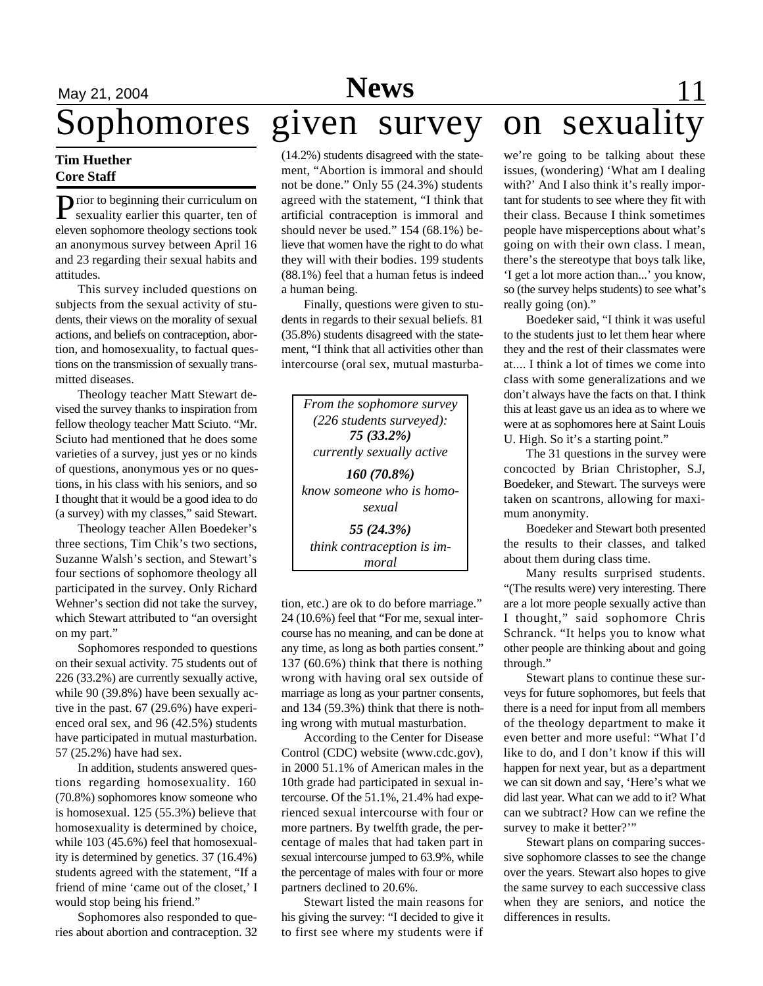# **May 21, 2004 Feature 21, 2004 Feature 21, 2004 Feature 21**

# Sophomores given survey on sexuality

#### **Tim Huether Core Staff**

Prior to beginning their curriculum on<br>sexuality earlier this quarter, ten of **T** rior to beginning their curriculum on eleven sophomore theology sections took an anonymous survey between April 16 and 23 regarding their sexual habits and attitudes.

This survey included questions on subjects from the sexual activity of students, their views on the morality of sexual actions, and beliefs on contraception, abortion, and homosexuality, to factual questions on the transmission of sexually transmitted diseases.

Theology teacher Matt Stewart devised the survey thanks to inspiration from fellow theology teacher Matt Sciuto. "Mr. Sciuto had mentioned that he does some varieties of a survey, just yes or no kinds of questions, anonymous yes or no questions, in his class with his seniors, and so I thought that it would be a good idea to do (a survey) with my classes," said Stewart.

Theology teacher Allen Boedeker's three sections, Tim Chik's two sections, Suzanne Walsh's section, and Stewart's four sections of sophomore theology all participated in the survey. Only Richard Wehner's section did not take the survey, which Stewart attributed to "an oversight on my part."

Sophomores responded to questions on their sexual activity. 75 students out of 226 (33.2%) are currently sexually active, while 90 (39.8%) have been sexually active in the past. 67 (29.6%) have experienced oral sex, and 96 (42.5%) students have participated in mutual masturbation. 57 (25.2%) have had sex.

In addition, students answered questions regarding homosexuality. 160 (70.8%) sophomores know someone who is homosexual. 125 (55.3%) believe that homosexuality is determined by choice, while 103 (45.6%) feel that homosexuality is determined by genetics. 37 (16.4%) students agreed with the statement, "If a friend of mine 'came out of the closet,' I would stop being his friend."

Sophomores also responded to queries about abortion and contraception. 32 (14.2%) students disagreed with the statement, "Abortion is immoral and should not be done." Only 55 (24.3%) students agreed with the statement, "I think that artificial contraception is immoral and should never be used." 154 (68.1%) believe that women have the right to do what they will with their bodies. 199 students (88.1%) feel that a human fetus is indeed a human being.

Finally, questions were given to students in regards to their sexual beliefs. 81 (35.8%) students disagreed with the statement, "I think that all activities other than intercourse (oral sex, mutual masturba-

*From the sophomore survey (226 students surveyed): 75 (33.2%) currently sexually active 160 (70.8%) know someone who is homosexual 55 (24.3%) think contraception is immoral*

tion, etc.) are ok to do before marriage." 24 (10.6%) feel that "For me, sexual intercourse has no meaning, and can be done at any time, as long as both parties consent." 137 (60.6%) think that there is nothing wrong with having oral sex outside of marriage as long as your partner consents, and 134 (59.3%) think that there is nothing wrong with mutual masturbation.

According to the Center for Disease Control (CDC) website (www.cdc.gov), in 2000 51.1% of American males in the 10th grade had participated in sexual intercourse. Of the 51.1%, 21.4% had experienced sexual intercourse with four or more partners. By twelfth grade, the percentage of males that had taken part in sexual intercourse jumped to 63.9%, while the percentage of males with four or more partners declined to 20.6%.

Stewart listed the main reasons for his giving the survey: "I decided to give it to first see where my students were if we're going to be talking about these issues, (wondering) 'What am I dealing with?' And I also think it's really important for students to see where they fit with their class. Because I think sometimes people have misperceptions about what's going on with their own class. I mean, there's the stereotype that boys talk like, 'I get a lot more action than...' you know, so (the survey helps students) to see what's really going (on)."

Boedeker said, "I think it was useful to the students just to let them hear where they and the rest of their classmates were at.... I think a lot of times we come into class with some generalizations and we don't always have the facts on that. I think this at least gave us an idea as to where we were at as sophomores here at Saint Louis U. High. So it's a starting point."

The 31 questions in the survey were concocted by Brian Christopher, S.J, Boedeker, and Stewart. The surveys were taken on scantrons, allowing for maximum anonymity.

Boedeker and Stewart both presented the results to their classes, and talked about them during class time.

Many results surprised students. "(The results were) very interesting. There are a lot more people sexually active than I thought," said sophomore Chris Schranck. "It helps you to know what other people are thinking about and going through."

Stewart plans to continue these surveys for future sophomores, but feels that there is a need for input from all members of the theology department to make it even better and more useful: "What I'd like to do, and I don't know if this will happen for next year, but as a department we can sit down and say, 'Here's what we did last year. What can we add to it? What can we subtract? How can we refine the survey to make it better?"

Stewart plans on comparing successive sophomore classes to see the change over the years. Stewart also hopes to give the same survey to each successive class when they are seniors, and notice the differences in results.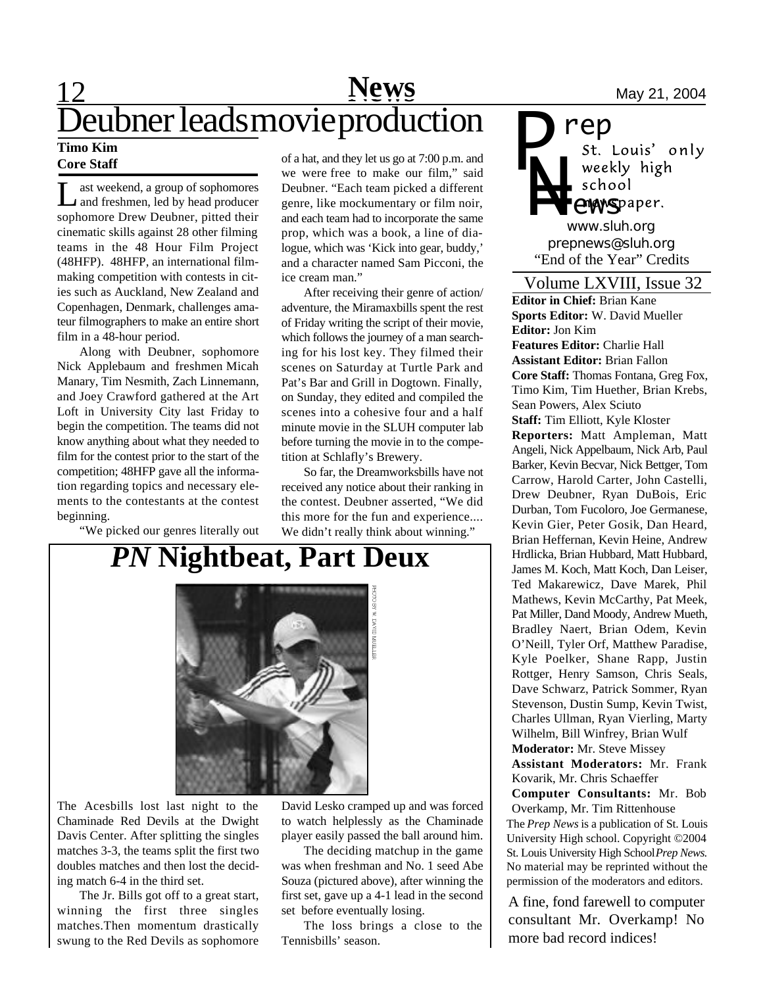## 12 Mews May 21, 2004 **Timo Kim** Deubner leads movie production

### **Core Staff**

L ast weekend, a group of sophomores ast weekend, a group of sophomores sophomore Drew Deubner, pitted their cinematic skills against 28 other filming teams in the 48 Hour Film Project (48HFP). 48HFP, an international filmmaking competition with contests in cities such as Auckland, New Zealand and Copenhagen, Denmark, challenges amateur filmographers to make an entire short film in a 48-hour period.

Along with Deubner, sophomore Nick Applebaum and freshmen Micah Manary, Tim Nesmith, Zach Linnemann, and Joey Crawford gathered at the Art Loft in University City last Friday to begin the competition. The teams did not know anything about what they needed to film for the contest prior to the start of the competition; 48HFP gave all the information regarding topics and necessary elements to the contestants at the contest beginning.

"We picked our genres literally out

of a hat, and they let us go at 7:00 p.m. and we were free to make our film," said Deubner. "Each team picked a different genre, like mockumentary or film noir, and each team had to incorporate the same prop, which was a book, a line of dialogue, which was 'Kick into gear, buddy,' and a character named Sam Picconi, the ice cream man."

After receiving their genre of action/ adventure, the Miramaxbills spent the rest of Friday writing the script of their movie, which follows the journey of a man searching for his lost key. They filmed their scenes on Saturday at Turtle Park and Pat's Bar and Grill in Dogtown. Finally, on Sunday, they edited and compiled the scenes into a cohesive four and a half minute movie in the SLUH computer lab before turning the movie in to the competition at Schlafly's Brewery.

So far, the Dreamworksbills have not received any notice about their ranking in the contest. Deubner asserted, "We did this more for the fun and experience.... We didn't really think about winning."

# *PN* **Nightbeat, Part Deux**



The Acesbills lost last night to the Chaminade Red Devils at the Dwight Davis Center. After splitting the singles matches 3-3, the teams split the first two doubles matches and then lost the deciding match 6-4 in the third set.

The Jr. Bills got off to a great start, winning the first three singles matches.Then momentum drastically swung to the Red Devils as sophomore

David Lesko cramped up and was forced to watch helplessly as the Chaminade player easily passed the ball around him.

The deciding matchup in the game was when freshman and No. 1 seed Abe Souza (pictured above), after winning the first set, gave up a 4-1 lead in the second set before eventually losing.

The loss brings a close to the Tennisbills' season.

**rep**<br>*st. Louis' only P* weekly high *N=* school **ewspaper.** *www.sluh.org*

*prepnews@sluh.org* "End of the Year" Credits

#### Volume LXVIII, Issue 32

**Editor in Chief:** Brian Kane **Sports Editor:** W. David Mueller **Editor:** Jon Kim **Features Editor:** Charlie Hall **Assistant Editor:** Brian Fallon **Core Staff:** Thomas Fontana, Greg Fox, Timo Kim, Tim Huether, Brian Krebs, Sean Powers, Alex Sciuto **Staff:** Tim Elliott, Kyle Kloster **Reporters:** Matt Ampleman, Matt Angeli, Nick Appelbaum, Nick Arb, Paul Barker, Kevin Becvar, Nick Bettger, Tom Carrow, Harold Carter, John Castelli, Drew Deubner, Ryan DuBois, Eric Durban, Tom Fucoloro, Joe Germanese, Kevin Gier, Peter Gosik, Dan Heard, Brian Heffernan, Kevin Heine, Andrew Hrdlicka, Brian Hubbard, Matt Hubbard, James M. Koch, Matt Koch, Dan Leiser, Ted Makarewicz, Dave Marek, Phil Mathews, Kevin McCarthy, Pat Meek, Pat Miller, Dand Moody, Andrew Mueth, Bradley Naert, Brian Odem, Kevin O'Neill, Tyler Orf, Matthew Paradise, Kyle Poelker, Shane Rapp, Justin Rottger, Henry Samson, Chris Seals, Dave Schwarz, Patrick Sommer, Ryan Stevenson, Dustin Sump, Kevin Twist, Charles Ullman, Ryan Vierling, Marty Wilhelm, Bill Winfrey, Brian Wulf **Moderator:** Mr. Steve Missey **Assistant Moderators:** Mr. Frank Kovarik, Mr. Chris Schaeffer **Computer Consultants:** Mr. Bob Overkamp, Mr. Tim Rittenhouse

The *Prep News* is a publication of St. Louis University High school. Copyright ©2004 St. Louis University High School *Prep News.* No material may be reprinted without the permission of the moderators and editors.

A fine, fond farewell to computer consultant Mr. Overkamp! No more bad record indices!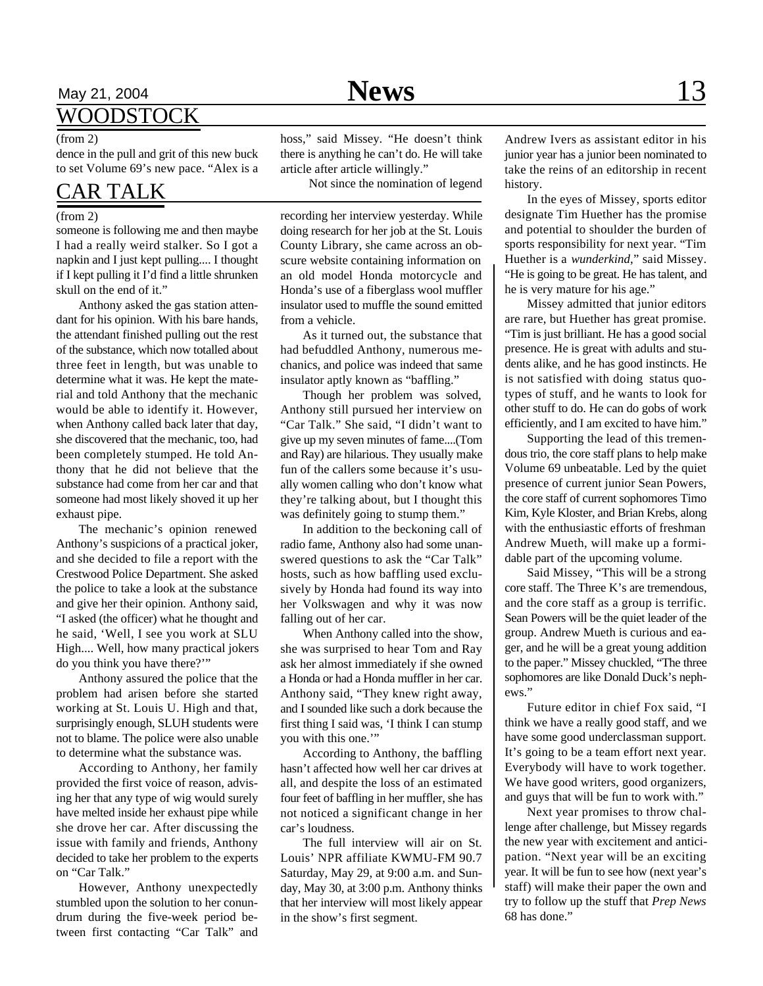## May 21, 2004 **News** 13

### WOODSTOCK

dence in the pull and grit of this new buck to set Volume 69's new pace. "Alex is a

## CAR TALK

#### (from 2)

someone is following me and then maybe I had a really weird stalker. So I got a napkin and I just kept pulling.... I thought if I kept pulling it I'd find a little shrunken skull on the end of it."

Anthony asked the gas station attendant for his opinion. With his bare hands, the attendant finished pulling out the rest of the substance, which now totalled about three feet in length, but was unable to determine what it was. He kept the material and told Anthony that the mechanic would be able to identify it. However, when Anthony called back later that day, she discovered that the mechanic, too, had been completely stumped. He told Anthony that he did not believe that the substance had come from her car and that someone had most likely shoved it up her exhaust pipe.

The mechanic's opinion renewed Anthony's suspicions of a practical joker, and she decided to file a report with the Crestwood Police Department. She asked the police to take a look at the substance and give her their opinion. Anthony said, "I asked (the officer) what he thought and he said, 'Well, I see you work at SLU High.... Well, how many practical jokers do you think you have there?'"

Anthony assured the police that the problem had arisen before she started working at St. Louis U. High and that, surprisingly enough, SLUH students were not to blame. The police were also unable to determine what the substance was.

According to Anthony, her family provided the first voice of reason, advising her that any type of wig would surely have melted inside her exhaust pipe while she drove her car. After discussing the issue with family and friends, Anthony decided to take her problem to the experts on "Car Talk."

However, Anthony unexpectedly stumbled upon the solution to her conundrum during the five-week period between first contacting "Car Talk" and

(from 2) hoss," said Missey. "He doesn't think there is anything he can't do. He will take article after article willingly."

Not since the nomination of legend

recording her interview yesterday. While doing research for her job at the St. Louis County Library, she came across an obscure website containing information on an old model Honda motorcycle and Honda's use of a fiberglass wool muffler insulator used to muffle the sound emitted from a vehicle.

As it turned out, the substance that had befuddled Anthony, numerous mechanics, and police was indeed that same insulator aptly known as "baffling."

Though her problem was solved, Anthony still pursued her interview on "Car Talk." She said, "I didn't want to give up my seven minutes of fame....(Tom and Ray) are hilarious. They usually make fun of the callers some because it's usually women calling who don't know what they're talking about, but I thought this was definitely going to stump them."

In addition to the beckoning call of radio fame, Anthony also had some unanswered questions to ask the "Car Talk" hosts, such as how baffling used exclusively by Honda had found its way into her Volkswagen and why it was now falling out of her car.

When Anthony called into the show, she was surprised to hear Tom and Ray ask her almost immediately if she owned a Honda or had a Honda muffler in her car. Anthony said, "They knew right away, and I sounded like such a dork because the first thing I said was, 'I think I can stump you with this one.'"

According to Anthony, the baffling hasn't affected how well her car drives at all, and despite the loss of an estimated four feet of baffling in her muffler, she has not noticed a significant change in her car's loudness.

The full interview will air on St. Louis' NPR affiliate KWMU-FM 90.7 Saturday, May 29, at 9:00 a.m. and Sunday, May 30, at 3:00 p.m. Anthony thinks that her interview will most likely appear in the show's first segment.

Andrew Ivers as assistant editor in his junior year has a junior been nominated to take the reins of an editorship in recent history.

In the eyes of Missey, sports editor designate Tim Huether has the promise and potential to shoulder the burden of sports responsibility for next year. "Tim Huether is a *wunderkind*," said Missey. "He is going to be great. He has talent, and he is very mature for his age."

Missey admitted that junior editors are rare, but Huether has great promise. "Tim is just brilliant. He has a good social presence. He is great with adults and students alike, and he has good instincts. He is not satisfied with doing status quotypes of stuff, and he wants to look for other stuff to do. He can do gobs of work efficiently, and I am excited to have him."

Supporting the lead of this tremendous trio, the core staff plans to help make Volume 69 unbeatable. Led by the quiet presence of current junior Sean Powers, the core staff of current sophomores Timo Kim, Kyle Kloster, and Brian Krebs, along with the enthusiastic efforts of freshman Andrew Mueth, will make up a formidable part of the upcoming volume.

Said Missey, "This will be a strong core staff. The Three K's are tremendous, and the core staff as a group is terrific. Sean Powers will be the quiet leader of the group. Andrew Mueth is curious and eager, and he will be a great young addition to the paper." Missey chuckled, "The three sophomores are like Donald Duck's nephews."

Future editor in chief Fox said, "I think we have a really good staff, and we have some good underclassman support. It's going to be a team effort next year. Everybody will have to work together. We have good writers, good organizers, and guys that will be fun to work with."

Next year promises to throw challenge after challenge, but Missey regards the new year with excitement and anticipation. "Next year will be an exciting year. It will be fun to see how (next year's staff) will make their paper the own and try to follow up the stuff that *Prep News* 68 has done."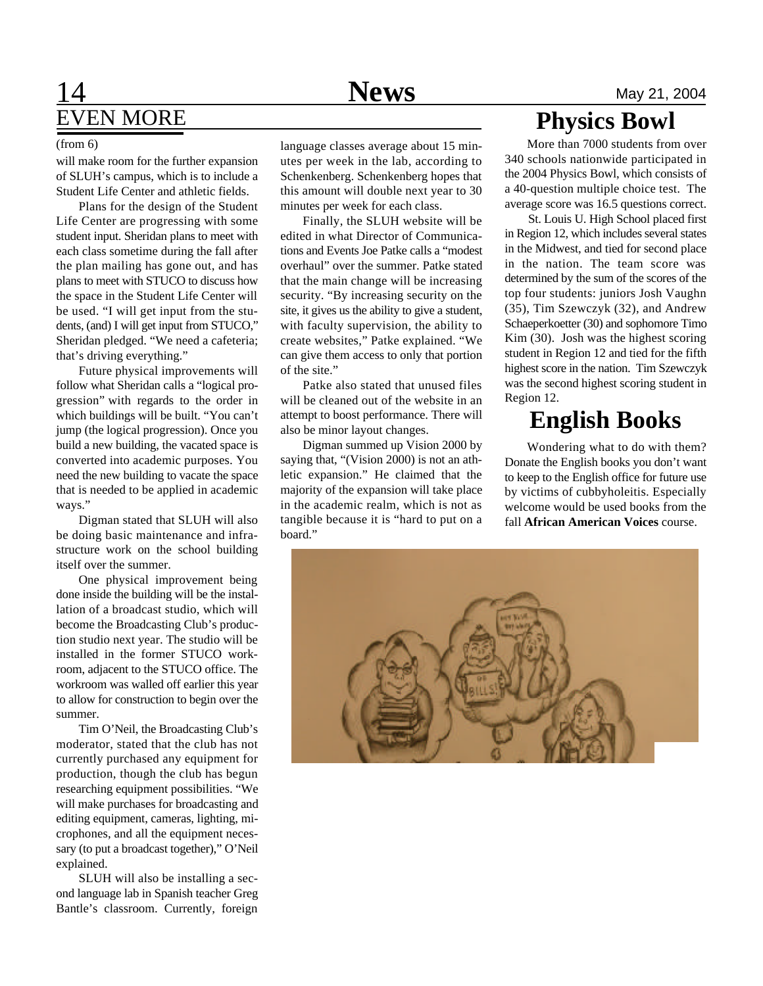## **14** Mews May 21, 2004 EVEN MORE

will make room for the further expansion of SLUH's campus, which is to include a Student Life Center and athletic fields.

Plans for the design of the Student Life Center are progressing with some student input. Sheridan plans to meet with each class sometime during the fall after the plan mailing has gone out, and has plans to meet with STUCO to discuss how the space in the Student Life Center will be used. "I will get input from the students, (and) I will get input from STUCO," Sheridan pledged. "We need a cafeteria; that's driving everything."

Future physical improvements will follow what Sheridan calls a "logical progression" with regards to the order in which buildings will be built. "You can't jump (the logical progression). Once you build a new building, the vacated space is converted into academic purposes. You need the new building to vacate the space that is needed to be applied in academic ways."

Digman stated that SLUH will also be doing basic maintenance and infrastructure work on the school building itself over the summer.

One physical improvement being done inside the building will be the installation of a broadcast studio, which will become the Broadcasting Club's production studio next year. The studio will be installed in the former STUCO workroom, adjacent to the STUCO office. The workroom was walled off earlier this year to allow for construction to begin over the summer.

Tim O'Neil, the Broadcasting Club's moderator, stated that the club has not currently purchased any equipment for production, though the club has begun researching equipment possibilities. "We will make purchases for broadcasting and editing equipment, cameras, lighting, microphones, and all the equipment necessary (to put a broadcast together)," O'Neil explained.

SLUH will also be installing a second language lab in Spanish teacher Greg Bantle's classroom. Currently, foreign

utes per week in the lab, according to Schenkenberg. Schenkenberg hopes that this amount will double next year to 30 minutes per week for each class.

Finally, the SLUH website will be edited in what Director of Communications and Events Joe Patke calls a "modest overhaul" over the summer. Patke stated that the main change will be increasing security. "By increasing security on the site, it gives us the ability to give a student, with faculty supervision, the ability to create websites," Patke explained. "We can give them access to only that portion of the site."

Patke also stated that unused files will be cleaned out of the website in an attempt to boost performance. There will also be minor layout changes.

Digman summed up Vision 2000 by saying that, "(Vision 2000) is not an athletic expansion." He claimed that the majority of the expansion will take place in the academic realm, which is not as tangible because it is "hard to put on a board."

## **Physics Bowl**

(from 6) language classes average about 15 min- More than 7000 students from over 340 schools nationwide participated in the 2004 Physics Bowl, which consists of a 40-question multiple choice test. The average score was 16.5 questions correct.

> St. Louis U. High School placed first in Region 12, which includes several states in the Midwest, and tied for second place in the nation. The team score was determined by the sum of the scores of the top four students: juniors Josh Vaughn (35), Tim Szewczyk (32), and Andrew Schaeperkoetter (30) and sophomore Timo Kim (30). Josh was the highest scoring student in Region 12 and tied for the fifth highest score in the nation. Tim Szewczyk was the second highest scoring student in Region 12.

## **English Books**

Wondering what to do with them? Donate the English books you don't want to keep to the English office for future use by victims of cubbyholeitis. Especially welcome would be used books from the fall **African American Voices** course.

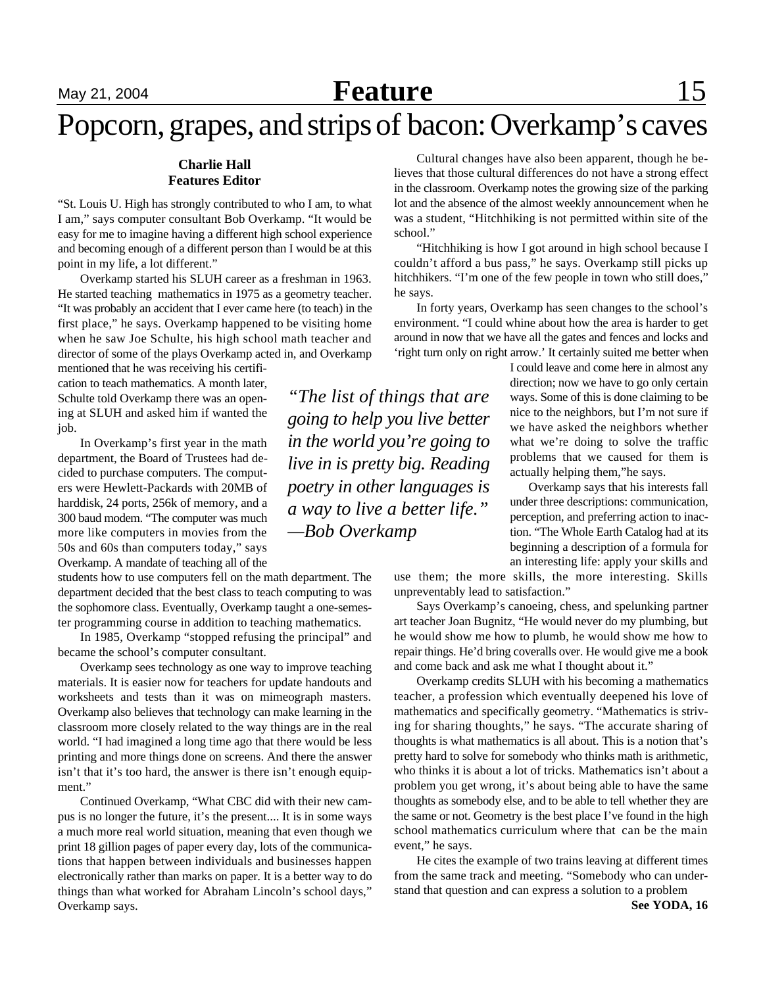## May 21, 2004 **Feature** 15

# Popcorn, grapes, and strips of bacon: Overkamp's caves

#### **Charlie Hall Features Editor**

"St. Louis U. High has strongly contributed to who I am, to what I am," says computer consultant Bob Overkamp. "It would be easy for me to imagine having a different high school experience and becoming enough of a different person than I would be at this point in my life, a lot different."

Overkamp started his SLUH career as a freshman in 1963. He started teaching mathematics in 1975 as a geometry teacher. "It was probably an accident that I ever came here (to teach) in the first place," he says. Overkamp happened to be visiting home when he saw Joe Schulte, his high school math teacher and director of some of the plays Overkamp acted in, and Overkamp

mentioned that he was receiving his certification to teach mathematics. A month later, Schulte told Overkamp there was an opening at SLUH and asked him if wanted the job.

In Overkamp's first year in the math department, the Board of Trustees had decided to purchase computers. The computers were Hewlett-Packards with 20MB of harddisk, 24 ports, 256k of memory, and a 300 baud modem. "The computer was much more like computers in movies from the 50s and 60s than computers today," says Overkamp. A mandate of teaching all of the

students how to use computers fell on the math department. The department decided that the best class to teach computing to was the sophomore class. Eventually, Overkamp taught a one-semester programming course in addition to teaching mathematics.

In 1985, Overkamp "stopped refusing the principal" and became the school's computer consultant.

Overkamp sees technology as one way to improve teaching materials. It is easier now for teachers for update handouts and worksheets and tests than it was on mimeograph masters. Overkamp also believes that technology can make learning in the classroom more closely related to the way things are in the real world. "I had imagined a long time ago that there would be less printing and more things done on screens. And there the answer isn't that it's too hard, the answer is there isn't enough equipment."

Continued Overkamp, "What CBC did with their new campus is no longer the future, it's the present.... It is in some ways a much more real world situation, meaning that even though we print 18 gillion pages of paper every day, lots of the communications that happen between individuals and businesses happen electronically rather than marks on paper. It is a better way to do things than what worked for Abraham Lincoln's school days," Overkamp says.

Cultural changes have also been apparent, though he believes that those cultural differences do not have a strong effect in the classroom. Overkamp notes the growing size of the parking lot and the absence of the almost weekly announcement when he was a student, "Hitchhiking is not permitted within site of the school."

"Hitchhiking is how I got around in high school because I couldn't afford a bus pass," he says. Overkamp still picks up hitchhikers. "I'm one of the few people in town who still does," he says.

In forty years, Overkamp has seen changes to the school's environment. "I could whine about how the area is harder to get around in now that we have all the gates and fences and locks and 'right turn only on right arrow.' It certainly suited me better when

> I could leave and come here in almost any direction; now we have to go only certain ways. Some of this is done claiming to be nice to the neighbors, but I'm not sure if we have asked the neighbors whether what we're doing to solve the traffic problems that we caused for them is actually helping them,"he says.

> Overkamp says that his interests fall under three descriptions: communication, perception, and preferring action to inaction. "The Whole Earth Catalog had at its beginning a description of a formula for an interesting life: apply your skills and

use them; the more skills, the more interesting. Skills unpreventably lead to satisfaction."

Says Overkamp's canoeing, chess, and spelunking partner art teacher Joan Bugnitz, "He would never do my plumbing, but he would show me how to plumb, he would show me how to repair things. He'd bring coveralls over. He would give me a book and come back and ask me what I thought about it."

Overkamp credits SLUH with his becoming a mathematics teacher, a profession which eventually deepened his love of mathematics and specifically geometry. "Mathematics is striving for sharing thoughts," he says. "The accurate sharing of thoughts is what mathematics is all about. This is a notion that's pretty hard to solve for somebody who thinks math is arithmetic, who thinks it is about a lot of tricks. Mathematics isn't about a problem you get wrong, it's about being able to have the same thoughts as somebody else, and to be able to tell whether they are the same or not. Geometry is the best place I've found in the high school mathematics curriculum where that can be the main event," he says.

He cites the example of two trains leaving at different times from the same track and meeting. "Somebody who can understand that question and can express a solution to a problem

*"The list of things that are going to help you live better in the world you're going to live in is pretty big. Reading poetry in other languages is a way to live a better life." —Bob Overkamp*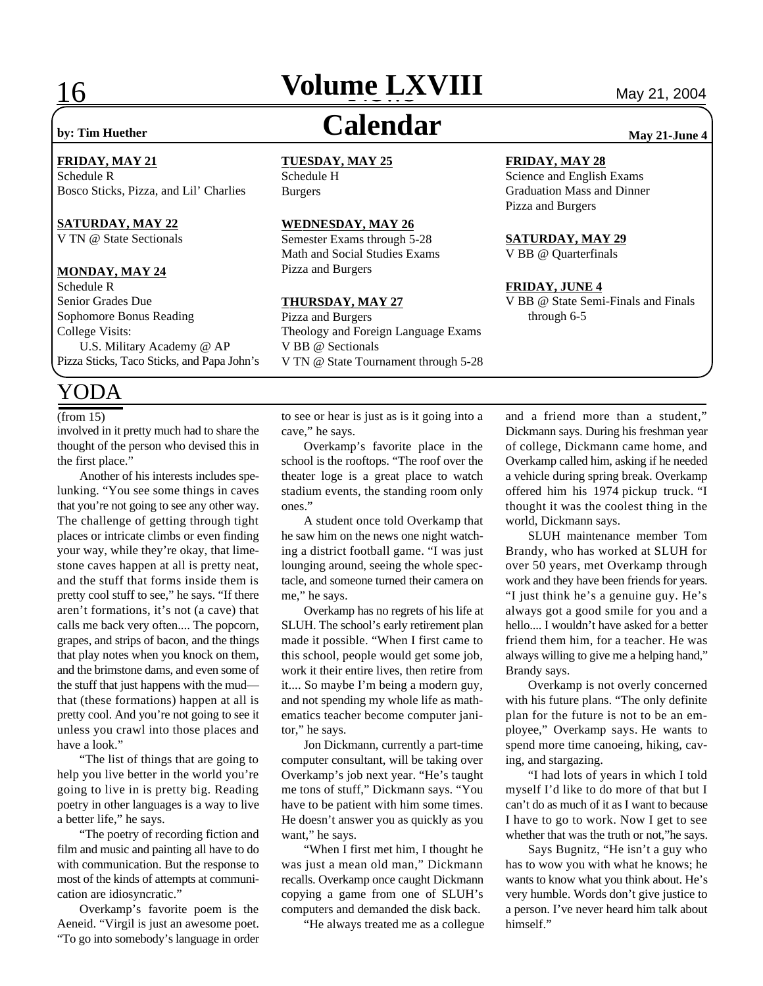# **16 <b>Volume LXVIII** May 21, 2004

## **by: Tim Huether Calendar May 21-June 4**

#### **FRIDAY, MAY 21**

Schedule R Bosco Sticks, Pizza, and Lil' Charlies

#### **SATURDAY, MAY 22**

V TN @ State Sectionals

#### **MONDAY, MAY 24**

Schedule R Senior Grades Due Sophomore Bonus Reading College Visits: U.S. Military Academy @ AP Pizza Sticks, Taco Sticks, and Papa John's

## YODA

involved in it pretty much had to share the thought of the person who devised this in the first place."

Another of his interests includes spelunking. "You see some things in caves that you're not going to see any other way. The challenge of getting through tight places or intricate climbs or even finding your way, while they're okay, that limestone caves happen at all is pretty neat, and the stuff that forms inside them is pretty cool stuff to see," he says. "If there aren't formations, it's not (a cave) that calls me back very often.... The popcorn, grapes, and strips of bacon, and the things that play notes when you knock on them, and the brimstone dams, and even some of the stuff that just happens with the mud that (these formations) happen at all is pretty cool. And you're not going to see it unless you crawl into those places and have a look."

"The list of things that are going to help you live better in the world you're going to live in is pretty big. Reading poetry in other languages is a way to live a better life," he says.

"The poetry of recording fiction and film and music and painting all have to do with communication. But the response to most of the kinds of attempts at communication are idiosyncratic."

Overkamp's favorite poem is the Aeneid. "Virgil is just an awesome poet. "To go into somebody's language in order

## **TUESDAY, MAY 25**

Schedule H Burgers

### **WEDNESDAY, MAY 26**

Semester Exams through 5-28 Math and Social Studies Exams Pizza and Burgers

#### **THURSDAY, MAY 27**

Pizza and Burgers Theology and Foreign Language Exams V BB @ Sectionals V TN @ State Tournament through 5-28

#### **FRIDAY, MAY 28**

Science and English Exams Graduation Mass and Dinner Pizza and Burgers

#### **SATURDAY, MAY 29**

V BB @ Quarterfinals

#### **FRIDAY, JUNE 4**

V BB @ State Semi-Finals and Finals through 6-5

cave," he says.

Overkamp's favorite place in the school is the rooftops. "The roof over the theater loge is a great place to watch stadium events, the standing room only ones."

A student once told Overkamp that he saw him on the news one night watching a district football game. "I was just lounging around, seeing the whole spectacle, and someone turned their camera on me," he says.

Overkamp has no regrets of his life at SLUH. The school's early retirement plan made it possible. "When I first came to this school, people would get some job, work it their entire lives, then retire from it.... So maybe I'm being a modern guy, and not spending my whole life as mathematics teacher become computer janitor," he says.

Jon Dickmann, currently a part-time computer consultant, will be taking over Overkamp's job next year. "He's taught me tons of stuff," Dickmann says. "You have to be patient with him some times. He doesn't answer you as quickly as you want," he says.

"When I first met him, I thought he was just a mean old man," Dickmann recalls. Overkamp once caught Dickmann copying a game from one of SLUH's computers and demanded the disk back.

"He always treated me as a collegue

(from 15) b to see or hear is just as is it going into a and a friend more than a student," Dickmann says. During his freshman year of college, Dickmann came home, and Overkamp called him, asking if he needed a vehicle during spring break. Overkamp offered him his 1974 pickup truck. "I thought it was the coolest thing in the world, Dickmann says.

> SLUH maintenance member Tom Brandy, who has worked at SLUH for over 50 years, met Overkamp through work and they have been friends for years. "I just think he's a genuine guy. He's always got a good smile for you and a hello.... I wouldn't have asked for a better friend them him, for a teacher. He was always willing to give me a helping hand," Brandy says.

> Overkamp is not overly concerned with his future plans. "The only definite plan for the future is not to be an employee," Overkamp says. He wants to spend more time canoeing, hiking, caving, and stargazing.

> "I had lots of years in which I told myself I'd like to do more of that but I can't do as much of it as I want to because I have to go to work. Now I get to see whether that was the truth or not,"he says.

> Says Bugnitz, "He isn't a guy who has to wow you with what he knows; he wants to know what you think about. He's very humble. Words don't give justice to a person. I've never heard him talk about himself."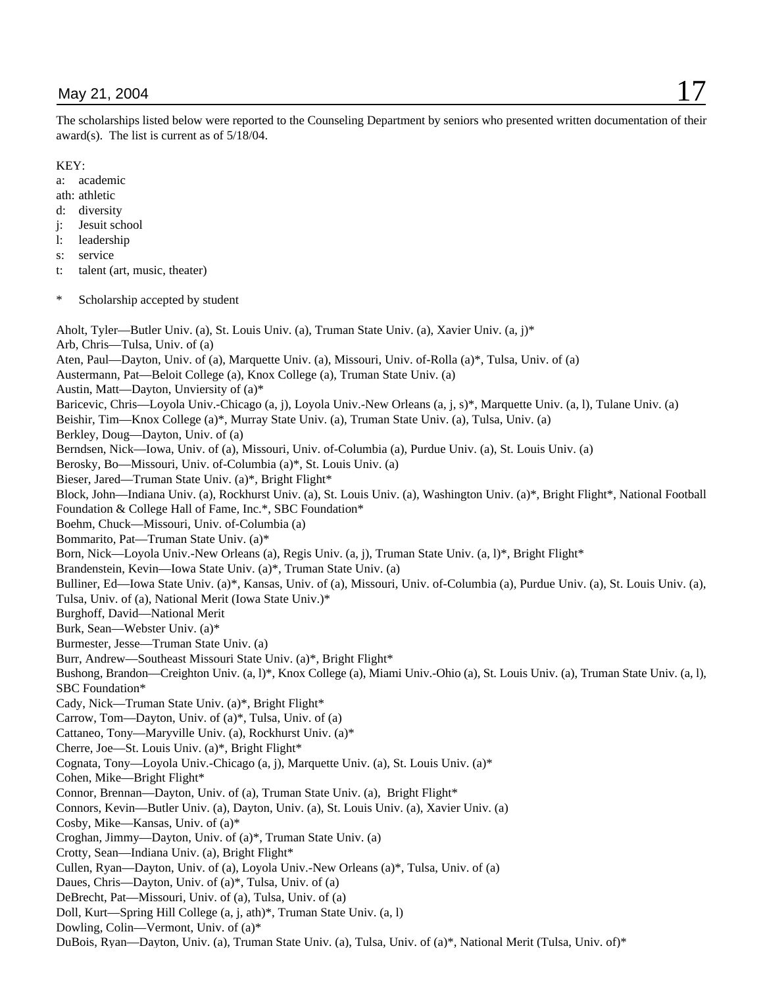#### KEY:

a: academic

- ath: athletic
- d: diversity
- j: Jesuit school
- l: leadership
- s: service
- t: talent (art, music, theater)
- \* Scholarship accepted by student

Aholt, Tyler—Butler Univ. (a), St. Louis Univ. (a), Truman State Univ. (a), Xavier Univ. (a, j)\* Arb, Chris—Tulsa, Univ. of (a) Aten, Paul—Dayton, Univ. of (a), Marquette Univ. (a), Missouri, Univ. of-Rolla (a)\*, Tulsa, Univ. of (a) Austermann, Pat—Beloit College (a), Knox College (a), Truman State Univ. (a) Austin, Matt—Dayton, Unviersity of (a)\* Baricevic, Chris—Loyola Univ.-Chicago (a, j), Loyola Univ.-New Orleans (a, j, s)\*, Marquette Univ. (a, l), Tulane Univ. (a) Beishir, Tim—Knox College (a)\*, Murray State Univ. (a), Truman State Univ. (a), Tulsa, Univ. (a) Berkley, Doug—Dayton, Univ. of (a) Berndsen, Nick—Iowa, Univ. of (a), Missouri, Univ. of-Columbia (a), Purdue Univ. (a), St. Louis Univ. (a) Berosky, Bo—Missouri, Univ. of-Columbia (a)\*, St. Louis Univ. (a) Bieser, Jared—Truman State Univ. (a)\*, Bright Flight\* Block, John—Indiana Univ. (a), Rockhurst Univ. (a), St. Louis Univ. (a), Washington Univ. (a)\*, Bright Flight\*, National Football Foundation & College Hall of Fame, Inc.\*, SBC Foundation\* Boehm, Chuck—Missouri, Univ. of-Columbia (a) Bommarito, Pat—Truman State Univ. (a)\* Born, Nick—Loyola Univ.-New Orleans (a), Regis Univ. (a, j), Truman State Univ. (a, l)\*, Bright Flight\* Brandenstein, Kevin—Iowa State Univ. (a)\*, Truman State Univ. (a) Bulliner, Ed—Iowa State Univ. (a)\*, Kansas, Univ. of (a), Missouri, Univ. of-Columbia (a), Purdue Univ. (a), St. Louis Univ. (a), Tulsa, Univ. of (a), National Merit (Iowa State Univ.)\* Burghoff, David—National Merit Burk, Sean—Webster Univ. (a)\* Burmester, Jesse—Truman State Univ. (a) Burr, Andrew—Southeast Missouri State Univ. (a)\*, Bright Flight\* Bushong, Brandon—Creighton Univ. (a, l)\*, Knox College (a), Miami Univ.-Ohio (a), St. Louis Univ. (a), Truman State Univ. (a, l), SBC Foundation\* Cady, Nick—Truman State Univ. (a)\*, Bright Flight\* Carrow, Tom—Dayton, Univ. of (a)\*, Tulsa, Univ. of (a) Cattaneo, Tony—Maryville Univ. (a), Rockhurst Univ. (a)\* Cherre, Joe—St. Louis Univ. (a)\*, Bright Flight\* Cognata, Tony—Loyola Univ.-Chicago (a, j), Marquette Univ. (a), St. Louis Univ. (a)\* Cohen, Mike—Bright Flight\* Connor, Brennan—Dayton, Univ. of (a), Truman State Univ. (a), Bright Flight\* Connors, Kevin—Butler Univ. (a), Dayton, Univ. (a), St. Louis Univ. (a), Xavier Univ. (a) Cosby, Mike—Kansas, Univ. of (a)\* Croghan, Jimmy—Dayton, Univ. of (a)\*, Truman State Univ. (a) Crotty, Sean—Indiana Univ. (a), Bright Flight\* Cullen, Ryan—Dayton, Univ. of (a), Loyola Univ.-New Orleans (a)\*, Tulsa, Univ. of (a) Daues, Chris—Dayton, Univ. of (a)\*, Tulsa, Univ. of (a) DeBrecht, Pat—Missouri, Univ. of (a), Tulsa, Univ. of (a) Doll, Kurt—Spring Hill College (a, j, ath)\*, Truman State Univ. (a, l) Dowling, Colin—Vermont, Univ. of (a)\* DuBois, Ryan—Dayton, Univ. (a), Truman State Univ. (a), Tulsa, Univ. of (a)\*, National Merit (Tulsa, Univ. of)\*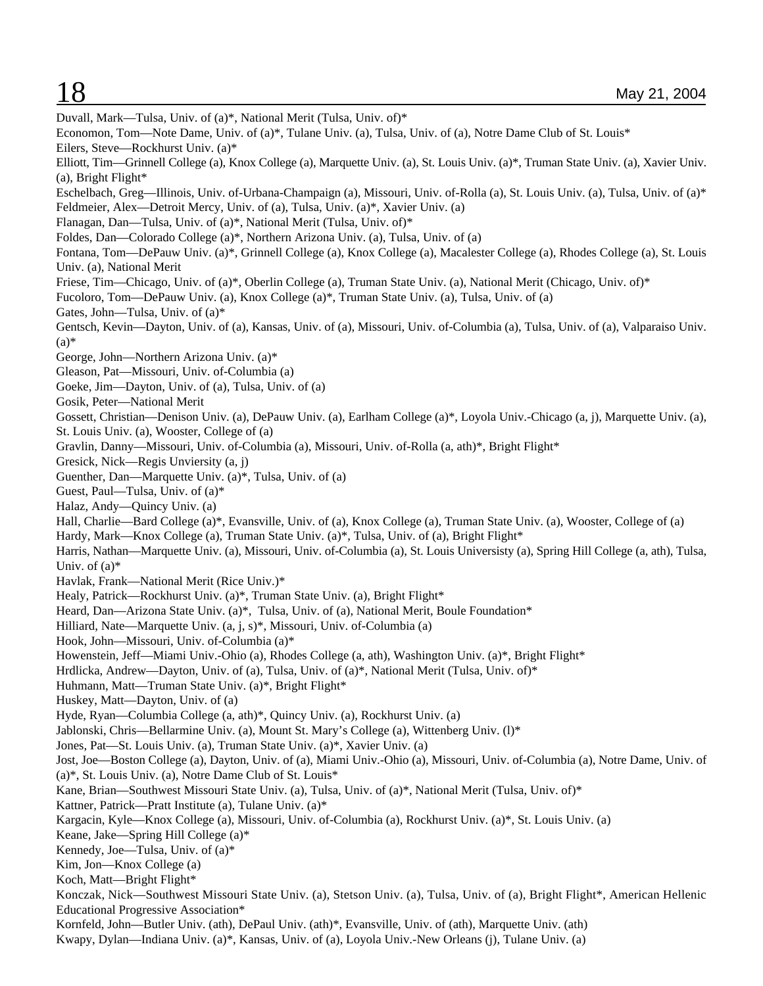Duvall, Mark—Tulsa, Univ. of (a)\*, National Merit (Tulsa, Univ. of)\* Economon, Tom—Note Dame, Univ. of (a)\*, Tulane Univ. (a), Tulsa, Univ. of (a), Notre Dame Club of St. Louis\* Eilers, Steve—Rockhurst Univ. (a)\* Elliott, Tim—Grinnell College (a), Knox College (a), Marquette Univ. (a), St. Louis Univ. (a)\*, Truman State Univ. (a), Xavier Univ. (a), Bright Flight\* Eschelbach, Greg—Illinois, Univ. of-Urbana-Champaign (a), Missouri, Univ. of-Rolla (a), St. Louis Univ. (a), Tulsa, Univ. of (a)\* Feldmeier, Alex—Detroit Mercy, Univ. of (a), Tulsa, Univ. (a)\*, Xavier Univ. (a) Flanagan, Dan—Tulsa, Univ. of (a)\*, National Merit (Tulsa, Univ. of)\* Foldes, Dan—Colorado College (a)\*, Northern Arizona Univ. (a), Tulsa, Univ. of (a) Fontana, Tom—DePauw Univ. (a)\*, Grinnell College (a), Knox College (a), Macalester College (a), Rhodes College (a), St. Louis Univ. (a), National Merit Friese, Tim—Chicago, Univ. of (a)\*, Oberlin College (a), Truman State Univ. (a), National Merit (Chicago, Univ. of)\* Fucoloro, Tom—DePauw Univ. (a), Knox College (a)\*, Truman State Univ. (a), Tulsa, Univ. of (a) Gates, John—Tulsa, Univ. of (a)\* Gentsch, Kevin—Dayton, Univ. of (a), Kansas, Univ. of (a), Missouri, Univ. of-Columbia (a), Tulsa, Univ. of (a), Valparaiso Univ.  $(a)$ George, John—Northern Arizona Univ. (a)\* Gleason, Pat—Missouri, Univ. of-Columbia (a) Goeke, Jim—Dayton, Univ. of (a), Tulsa, Univ. of (a) Gosik, Peter—National Merit Gossett, Christian—Denison Univ. (a), DePauw Univ. (a), Earlham College (a)\*, Loyola Univ.-Chicago (a, j), Marquette Univ. (a), St. Louis Univ. (a), Wooster, College of (a) Gravlin, Danny—Missouri, Univ. of-Columbia (a), Missouri, Univ. of-Rolla (a, ath)\*, Bright Flight\* Gresick, Nick—Regis Unviersity (a, j) Guenther, Dan—Marquette Univ. (a)\*, Tulsa, Univ. of (a) Guest, Paul—Tulsa, Univ. of (a)\* Halaz, Andy—Quincy Univ. (a) Hall, Charlie—Bard College (a)\*, Evansville, Univ. of (a), Knox College (a), Truman State Univ. (a), Wooster, College of (a) Hardy, Mark—Knox College (a), Truman State Univ. (a)\*, Tulsa, Univ. of (a), Bright Flight\* Harris, Nathan—Marquette Univ. (a), Missouri, Univ. of-Columbia (a), St. Louis Universisty (a), Spring Hill College (a, ath), Tulsa, Univ. of  $(a)$ <sup>\*</sup> Havlak, Frank—National Merit (Rice Univ.)\* Healy, Patrick—Rockhurst Univ. (a)\*, Truman State Univ. (a), Bright Flight\* Heard, Dan—Arizona State Univ. (a)\*, Tulsa, Univ. of (a), National Merit, Boule Foundation\* Hilliard, Nate—Marquette Univ. (a, j, s)\*, Missouri, Univ. of-Columbia (a) Hook, John—Missouri, Univ. of-Columbia (a)\* Howenstein, Jeff—Miami Univ.-Ohio (a), Rhodes College (a, ath), Washington Univ. (a)\*, Bright Flight\* Hrdlicka, Andrew—Dayton, Univ. of (a), Tulsa, Univ. of (a)\*, National Merit (Tulsa, Univ. of)\* Huhmann, Matt—Truman State Univ. (a)\*, Bright Flight\* Huskey, Matt—Dayton, Univ. of (a) Hyde, Ryan—Columbia College (a, ath)\*, Quincy Univ. (a), Rockhurst Univ. (a) Jablonski, Chris—Bellarmine Univ. (a), Mount St. Mary's College (a), Wittenberg Univ. (l)\* Jones, Pat—St. Louis Univ. (a), Truman State Univ. (a)\*, Xavier Univ. (a) Jost, Joe—Boston College (a), Dayton, Univ. of (a), Miami Univ.-Ohio (a), Missouri, Univ. of-Columbia (a), Notre Dame, Univ. of (a)\*, St. Louis Univ. (a), Notre Dame Club of St. Louis\* Kane, Brian—Southwest Missouri State Univ. (a), Tulsa, Univ. of (a)\*, National Merit (Tulsa, Univ. of)\* Kattner, Patrick—Pratt Institute (a), Tulane Univ. (a)\* Kargacin, Kyle—Knox College (a), Missouri, Univ. of-Columbia (a), Rockhurst Univ. (a)\*, St. Louis Univ. (a) Keane, Jake—Spring Hill College (a)\* Kennedy, Joe—Tulsa, Univ. of (a)\* Kim, Jon—Knox College (a) Koch, Matt—Bright Flight\* Konczak, Nick—Southwest Missouri State Univ. (a), Stetson Univ. (a), Tulsa, Univ. of (a), Bright Flight\*, American Hellenic Educational Progressive Association\* Kornfeld, John—Butler Univ. (ath), DePaul Univ. (ath)\*, Evansville, Univ. of (ath), Marquette Univ. (ath) Kwapy, Dylan—Indiana Univ. (a)\*, Kansas, Univ. of (a), Loyola Univ.-New Orleans (j), Tulane Univ. (a)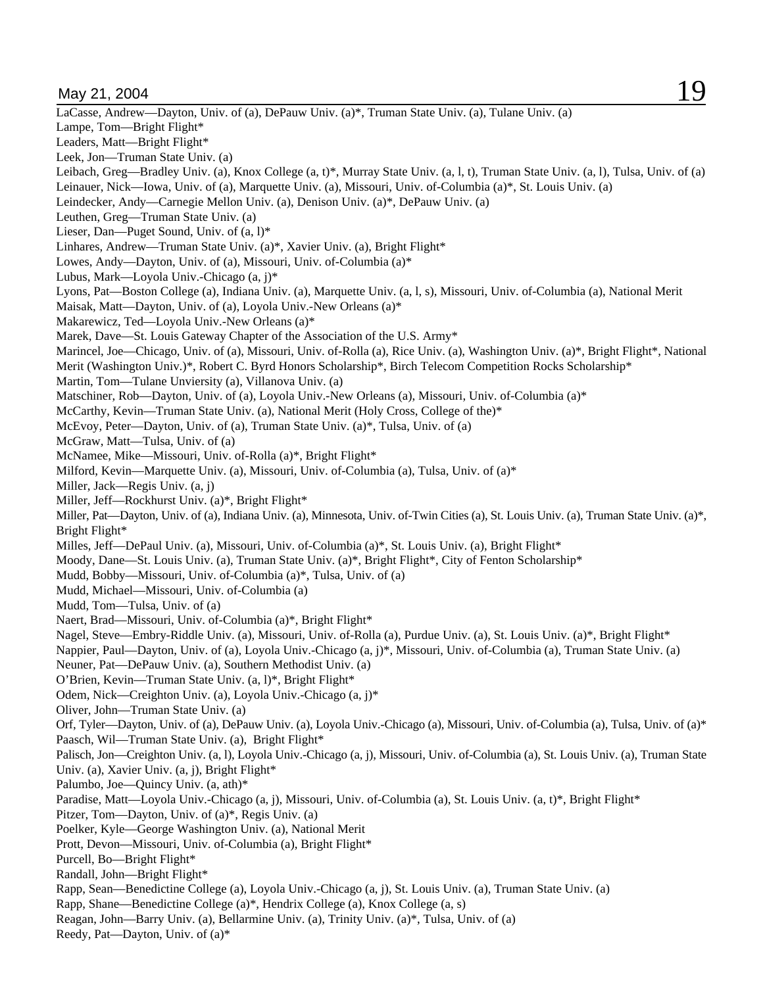May 21, 2004 **19** LaCasse, Andrew—Dayton, Univ. of (a), DePauw Univ. (a)\*, Truman State Univ. (a), Tulane Univ. (a) Lampe, Tom—Bright Flight\* Leaders, Matt—Bright Flight\* Leek, Jon—Truman State Univ. (a) Leibach, Greg—Bradley Univ. (a), Knox College (a, t)\*, Murray State Univ. (a, l, t), Truman State Univ. (a, l), Tulsa, Univ. of (a) Leinauer, Nick—Iowa, Univ. of (a), Marquette Univ. (a), Missouri, Univ. of-Columbia (a)\*, St. Louis Univ. (a) Leindecker, Andy—Carnegie Mellon Univ. (a), Denison Univ. (a)\*, DePauw Univ. (a) Leuthen, Greg—Truman State Univ. (a) Lieser, Dan—Puget Sound, Univ. of (a, l)\* Linhares, Andrew—Truman State Univ. (a)\*, Xavier Univ. (a), Bright Flight\* Lowes, Andy—Dayton, Univ. of (a), Missouri, Univ. of-Columbia (a)\* Lubus, Mark—Loyola Univ.-Chicago (a, j)\* Lyons, Pat—Boston College (a), Indiana Univ. (a), Marquette Univ. (a, l, s), Missouri, Univ. of-Columbia (a), National Merit Maisak, Matt—Dayton, Univ. of (a), Loyola Univ.-New Orleans (a)\* Makarewicz, Ted—Loyola Univ.-New Orleans (a)\* Marek, Dave—St. Louis Gateway Chapter of the Association of the U.S. Army\* Marincel, Joe—Chicago, Univ. of (a), Missouri, Univ. of-Rolla (a), Rice Univ. (a), Washington Univ. (a)\*, Bright Flight\*, National Merit (Washington Univ.)\*, Robert C. Byrd Honors Scholarship\*, Birch Telecom Competition Rocks Scholarship\* Martin, Tom—Tulane Unviersity (a), Villanova Univ. (a) Matschiner, Rob—Dayton, Univ. of (a), Loyola Univ.-New Orleans (a), Missouri, Univ. of-Columbia (a)\* McCarthy, Kevin—Truman State Univ. (a), National Merit (Holy Cross, College of the)\* McEvoy, Peter—Dayton, Univ. of (a), Truman State Univ. (a)\*, Tulsa, Univ. of (a) McGraw, Matt—Tulsa, Univ. of (a) McNamee, Mike—Missouri, Univ. of-Rolla (a)\*, Bright Flight\* Milford, Kevin—Marquette Univ. (a), Missouri, Univ. of-Columbia (a), Tulsa, Univ. of (a)\* Miller, Jack—Regis Univ. (a, j) Miller, Jeff—Rockhurst Univ. (a)\*, Bright Flight\* Miller, Pat—Dayton, Univ. of (a), Indiana Univ. (a), Minnesota, Univ. of-Twin Cities (a), St. Louis Univ. (a), Truman State Univ. (a)\*, Bright Flight\* Milles, Jeff—DePaul Univ. (a), Missouri, Univ. of-Columbia (a)\*, St. Louis Univ. (a), Bright Flight\* Moody, Dane—St. Louis Univ. (a), Truman State Univ. (a)\*, Bright Flight\*, City of Fenton Scholarship\* Mudd, Bobby—Missouri, Univ. of-Columbia (a)\*, Tulsa, Univ. of (a) Mudd, Michael—Missouri, Univ. of-Columbia (a) Mudd, Tom—Tulsa, Univ. of (a) Naert, Brad—Missouri, Univ. of-Columbia (a)\*, Bright Flight\* Nagel, Steve—Embry-Riddle Univ. (a), Missouri, Univ. of-Rolla (a), Purdue Univ. (a), St. Louis Univ. (a)\*, Bright Flight\* Nappier, Paul—Dayton, Univ. of (a), Loyola Univ.-Chicago (a, j)\*, Missouri, Univ. of-Columbia (a), Truman State Univ. (a) Neuner, Pat—DePauw Univ. (a), Southern Methodist Univ. (a) O'Brien, Kevin—Truman State Univ. (a, l)\*, Bright Flight\* Odem, Nick—Creighton Univ. (a), Loyola Univ.-Chicago (a, j)\* Oliver, John—Truman State Univ. (a) Orf, Tyler—Dayton, Univ. of (a), DePauw Univ. (a), Loyola Univ.-Chicago (a), Missouri, Univ. of-Columbia (a), Tulsa, Univ. of (a)\* Paasch, Wil-Truman State Univ. (a), Bright Flight\* Palisch, Jon—Creighton Univ. (a, l), Loyola Univ.-Chicago (a, j), Missouri, Univ. of-Columbia (a), St. Louis Univ. (a), Truman State Univ. (a), Xavier Univ. (a, j), Bright Flight\* Palumbo, Joe—Quincy Univ. (a, ath)\* Paradise, Matt—Loyola Univ.-Chicago (a, j), Missouri, Univ. of-Columbia (a), St. Louis Univ. (a, t)\*, Bright Flight\* Pitzer, Tom—Dayton, Univ. of (a)\*, Regis Univ. (a) Poelker, Kyle—George Washington Univ. (a), National Merit Prott, Devon—Missouri, Univ. of-Columbia (a), Bright Flight\* Purcell, Bo—Bright Flight\* Randall, John—Bright Flight\* Rapp, Sean—Benedictine College (a), Loyola Univ.-Chicago (a, j), St. Louis Univ. (a), Truman State Univ. (a) Rapp, Shane—Benedictine College (a)\*, Hendrix College (a), Knox College (a, s) Reagan, John—Barry Univ. (a), Bellarmine Univ. (a), Trinity Univ. (a)\*, Tulsa, Univ. of (a) Reedy, Pat—Dayton, Univ. of (a)\*